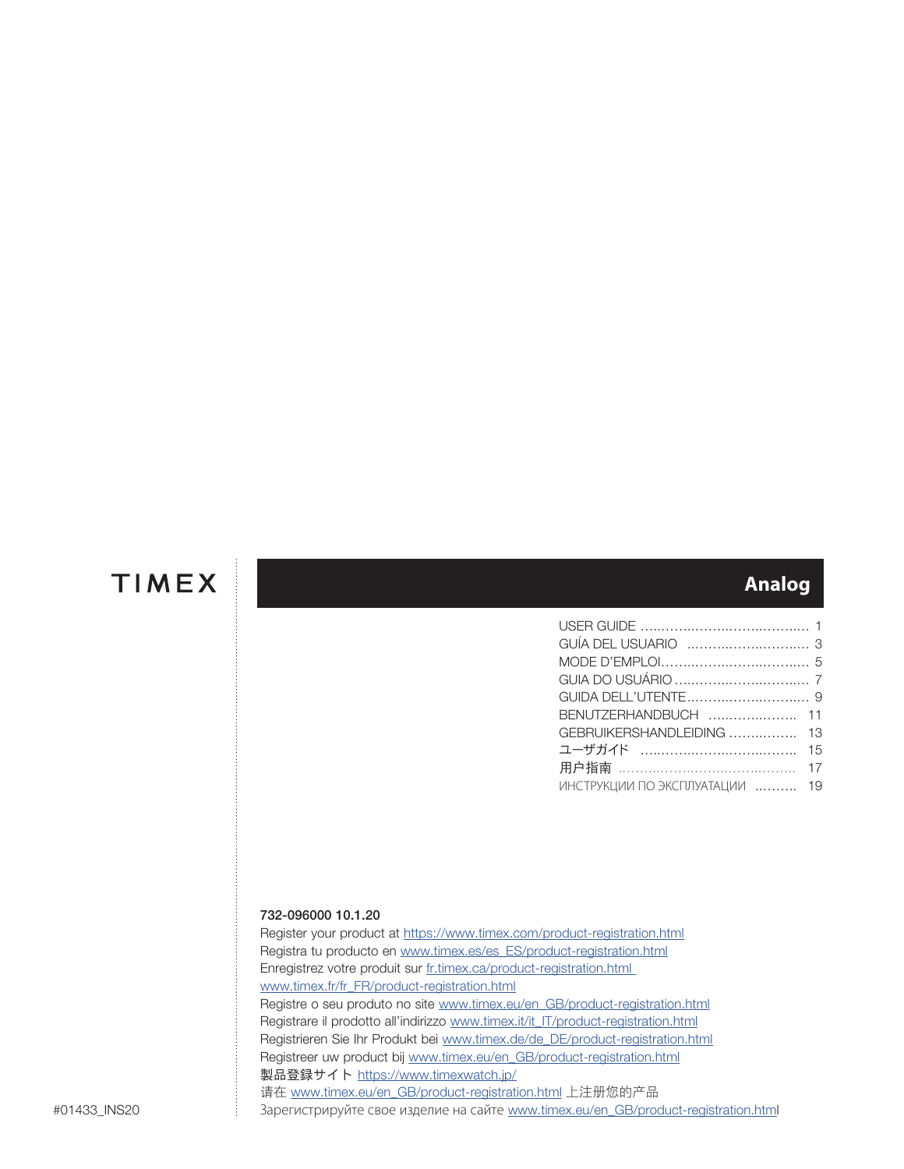## **Analog**

| BENUTZERHANDBUCH  11           |  |
|--------------------------------|--|
| GEBRUIKERSHANDLEIDING  13      |  |
|                                |  |
|                                |  |
| ИНСТРУКЦИИ ПО ЭКСПЛУАТАЦИИ  19 |  |

## 732-096000 10.1.20

Register your product at https://www.timex.com/product-registration.html Registra tu producto en www.timex.es/es\_ES/product-registration.html Enregistrez votre produit sur fr.timex.ca/product-registration.html www.timex.fr/fr\_FR/product-registration.html Registre o seu produto no site www.timex.eu/en\_GB/product-registration.html Registrare il prodotto all'indirizzo www.timex.it/it\_IT/product-registration.html Registrieren Sie Ihr Produkt bei www.timex.de/de\_DE/product-registration.html Registreer uw product bij www.timex.eu/en\_GB/product-registration.html 製品登録サイト https://www.timexwatch.jp/ 请在 www.timex.eu/en\_GB/product-registration.html 上注册您的产品 Зарегистрируйте свое изделие на сайте www.timex.eu/en\_GB/product-registration.html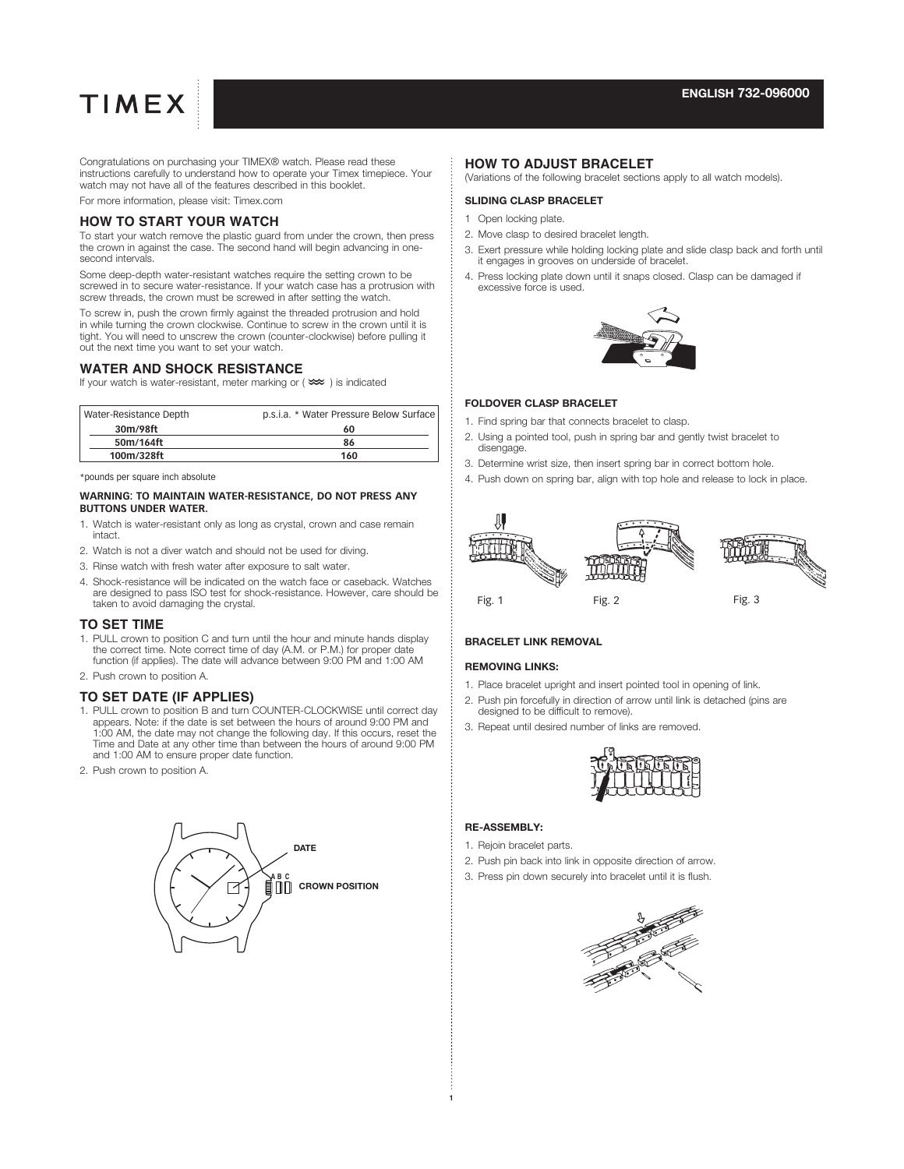Congratulations on purchasing your TIMEX® watch. Please read these instructions carefully to understand how to operate your Timex timepiece. Your watch may not have all of the features described in this booklet.

For more information, please visit: Timex.com

### **HOW TO START YOUR WATCH**

To start your watch remove the plastic guard from under the crown, then press the crown in against the case. The second hand will begin advancing in onesecond intervals.

Some deep-depth water-resistant watches require the setting crown to be screwed in to secure water-resistance. If your watch case has a protrusion with screw threads, the crown must be screwed in after setting the watch.

To screw in, push the crown firmly against the threaded protrusion and hold in while turning the crown clockwise. Continue to screw in the crown until it is tight. You will need to unscrew the crown (counter-clockwise) before pulling it out the next time you want to set your watch.

#### **WATER AND SHOCK RESISTANCE**

If your watch is water-resistant, meter marking or ( $\lll$ ) is indicated

| Water-Resistance Depth | p.s.i.a. * Water Pressure Below Surface |
|------------------------|-----------------------------------------|
| 30m/98ft               | 60                                      |
| 50m/164ft              | 86                                      |
| 100m/328ft             | 160                                     |

\*pounds per square inch absolute

#### **WARNING: TO MAINTAIN WATER-RESISTANCE, DO NOT PRESS ANY BUTTONS UNDER WATER.**

- 1. Watch is water-resistant only as long as crystal, crown and case remain intact.
- 2. Watch is not a diver watch and should not be used for diving.
- 3. Rinse watch with fresh water after exposure to salt water.
- 4. Shock-resistance will be indicated on the watch face or caseback. Watches are designed to pass ISO test for shock-resistance. However, care should be taken to avoid damaging the crystal.

### **TO SET TIME**

- 1. PULL crown to position C and turn until the hour and minute hands display the correct time. Note correct time of day (A.M. or P.M.) for proper date function (if applies). The date will advance between 9:00 PM and 1:00 AM
- 2. Push crown to position A.

### **TO SET DATE (IF APPLIES)**

- 1. PULL crown to position B and turn COUNTER-CLOCKWISE until correct day appears. Note: if the date is set between the hours of around 9:00 PM and 1:00 AM, the date may not change the following day. If this occurs, reset the Time and Date at any other time than between the hours of around 9:00 PM and 1:00 AM to ensure proper date function.
- 2. Push crown to position A.



#### **HOW TO ADJUST BRACELET**

(Variations of the following bracelet sections apply to all watch models).

## SLIDING CLASP BRACELET

- 1 Open locking plate.
- 2. Move clasp to desired bracelet length.
- 3. Exert pressure while holding locking plate and slide clasp back and forth until it engages in grooves on underside of bracelet.
- 4. Press locking plate down until it snaps closed. Clasp can be damaged if excessive force is used.



#### FOLDOVER CLASP BRACELET

- 1. Find spring bar that connects bracelet to clasp.
- 2. Using a pointed tool, push in spring bar and gently twist bracelet to disengage.
- 3. Determine wrist size, then insert spring bar in correct bottom hole.
- 4. Push down on spring bar, align with top hole and release to lock in place.



## BRACELET LINK REMOVAL

#### REMOVING LINKS:

- 1. Place bracelet upright and insert pointed tool in opening of link.
- 2. Push pin forcefully in direction of arrow until link is detached (pins are designed to be difficult to remove).
- 3. Repeat until desired number of links are removed.



### RE-ASSEMBLY:

- 1. Rejoin bracelet parts.
- 2. Push pin back into link in opposite direction of arrow.
- 3. Press pin down securely into bracelet until it is flush.

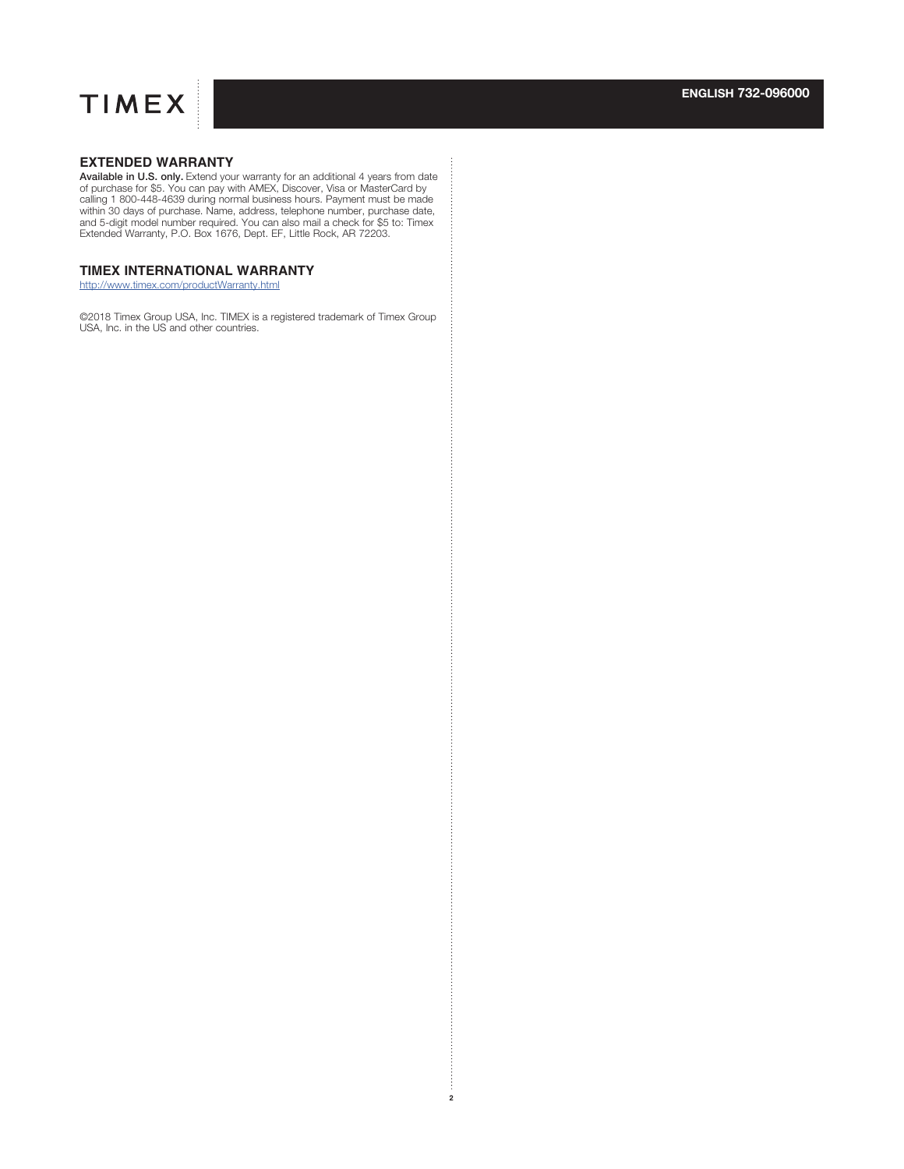

## **EXTENDED WARRANTY**

**Available in U.S. only.** Extend your warranty for an additional 4 years from date of purchase for \$5. You can pay with AMEX, Discover, Visa or MasterCard by alling 1 800-448-639 during normal business hours. Payment must Extended Warranty, P.O. Box 1676, Dept. EF, Little Rock, AR 72203.

## **TIMEX INTERNATIONAL WARRANTY**

http://www.timex.com/productWarranty.html

©2018 Timex Group USA, Inc. TIMEX is a registered trademark of Timex Group USA, Inc. in the US and other countries.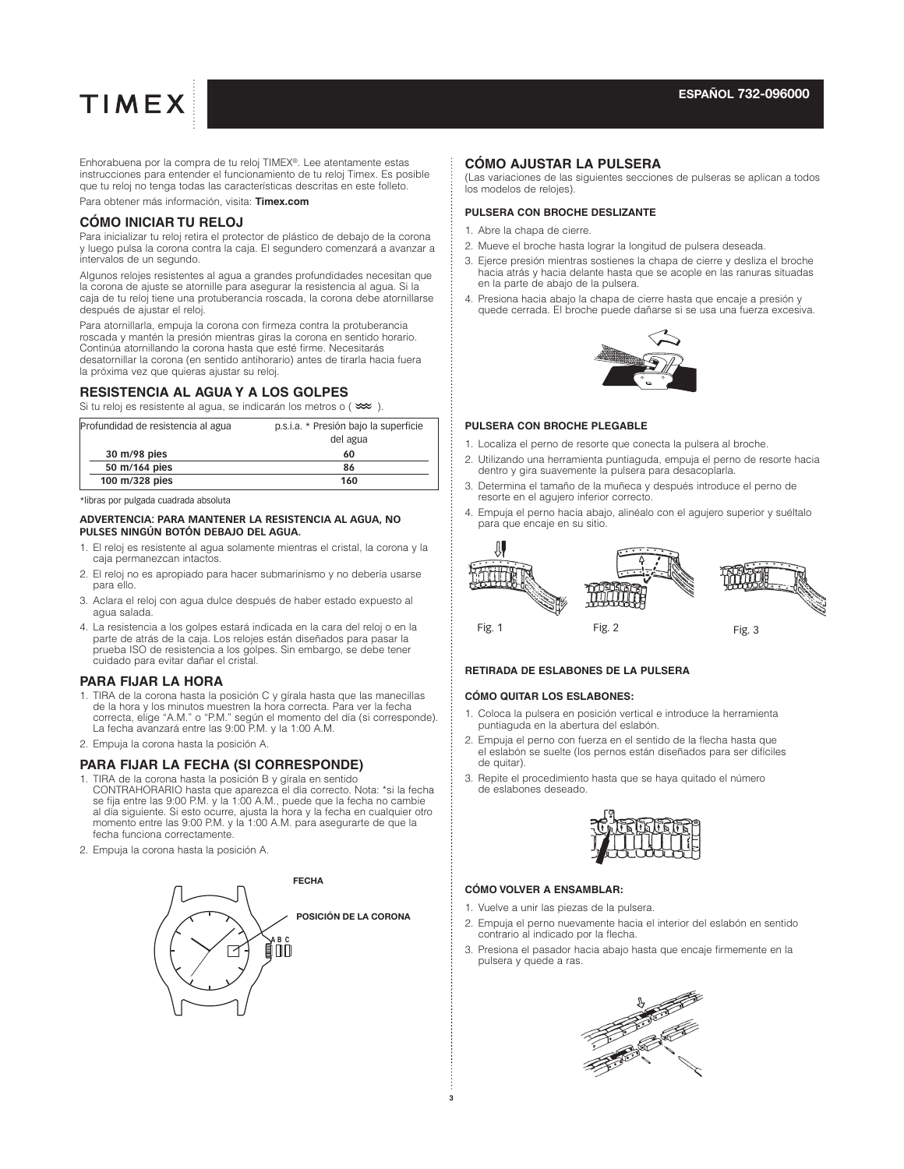Enhorabuena por la compra de tu reloj TIMEX®. Lee atentamente estas instrucciones para entender el funcionamiento de tu reloj Timex. Es posible que tu reloj no tenga todas las características descritas en este folleto. Para obtener más información, visita: **Timex.com**

## **CÓMO INICIAR TU RELOJ**

Para inicializar tu reloj retira el protector de plástico de debajo de la corona y luego pulsa la corona contra la caja. El segundero comenzará a avanzar a intervalos de un segundo.

Algunos relojes resistentes al agua a grandes profundidades necesitan que la corona de ajuste se atornille para asegurar la resistencia al agua. Si la caja de tu reloj tiene una protuberancia roscada, la corona debe atornillarse después de ajustar el reloj.

Para atornillarla, empuja la corona con firmeza contra la protuberancia roscada y mantén la presión mientras giras la corona en sentido horario. Continúa atornillando la corona hasta que esté firme. Necesitarás desatornillar la corona (en sentido antihorario) antes de tirarla hacia fuera la próxima vez que quieras ajustar su reloj.

#### **RESISTENCIA AL AGUA Y A LOS GOLPES**

Si tu reloj es resistente al agua, se indicarán los metros o  $(\infty)$ .

| p.s.i.a. * Presión bajo la superficie<br>del agua |
|---------------------------------------------------|
| 60                                                |
| 86                                                |
| 160                                               |
|                                                   |

\*libras por pulgada cuadrada absoluta

#### **ADVERTENCIA: PARA MANTENER LA RESISTENCIA AL AGUA, NO PULSES NINGÚN BOTÓN DEBAJO DEL AGUA.**

- 1. El reloj es resistente al agua solamente mientras el cristal, la corona y la caja permanezcan intactos.
- 2. El reloj no es apropiado para hacer submarinismo y no debería usarse para ello.
- 3. Aclara el reloj con agua dulce después de haber estado expuesto al agua salada.
- 4. La resistencia a los golpes estará indicada en la cara del reloj o en la parte de atrás de la caja. Los relojes están diseñados para pasar la prueba ISO de resistencia a los golpes. Sin embargo, se debe tener cuidado para evitar dañar el cristal.

#### **PARA FIJAR LA HORA**

- 1. TIRA de la corona hasta la posición C y gírala hasta que las manecillas de la hora y los minutos muestren la hora correcta. Para ver la fecha correcta, elige "A.M." o "P.M." según el momento del día (si corresponde). La fecha avanzará entre las 9:00 P.M. y la 1:00 A.M.
- 2. Empuja la corona hasta la posición A.

## **PARA FIJAR LA FECHA (SI CORRESPONDE)**

- 1. TIRA de la corona hasta la posición B y gírala en sentido CONTRAHORARIO hasta que aparezca el día correcto. Nota: \*si la fecha se fija entre las 9:00 P.M. y la 1:00 A.M., puede que la fecha no cambie al día siguiente. Si esto ocurre, ajusta la hora y la fecha en cualquier otro momento entre las 9:00 P.M. y la 1:00 A.M. para asegurarte de que la fecha funciona correctamente.
- 2. Empuja la corona hasta la posición A.



#### **CÓMO AJUSTAR LA PULSERA**

(Las variaciones de las siguientes secciones de pulseras se aplican a todos los modelos de relojes).

#### **PULSERA CON BROCHE DESLIZANTE**

- 1. Abre la chapa de cierre.
- 2. Mueve el broche hasta lograr la longitud de pulsera deseada.
- 3. Ejerce presión mientras sostienes la chapa de cierre y desliza el broche hacia atrás y hacia delante hasta que se acople en las ranuras situadas en la parte de abajo de la pulsera.
- 4. Presiona hacia abajo la chapa de cierre hasta que encaje a presión y quede cerrada. El broche puede dañarse si se usa una fuerza excesiva.



#### **PULSERA CON BROCHE PLEGABLE**

- 1. Localiza el perno de resorte que conecta la pulsera al broche.
- 2. Utilizando una herramienta puntiaguda, empuja el perno de resorte hacia dentro y gira suavemente la pulsera para desacoplarla.
- 3. Determina el tamaño de la muñeca y después introduce el perno de resorte en el agujero inferior correcto.
- 4. Empuja el perno hacia abajo, alinéalo con el agujero superior y suéltalo para que encaje en su sitio.



#### **RETIRADA DE ESLABONES DE LA PULSERA**

#### **CÓMO QUITAR LOS ESLABONES:**

- 1. Coloca la pulsera en posición vertical e introduce la herramienta puntiaguda en la abertura del eslabón.
- 2. Empuja el perno con fuerza en el sentido de la flecha hasta que el eslabón se suelte (los pernos están diseñados para ser difíciles de quitar).
- 3. Repite el procedimiento hasta que se haya quitado el número de eslabones deseado.



#### **CÓMO VOLVER A ENSAMBLAR:**

- 1. Vuelve a unir las piezas de la pulsera.
- 2. Empuja el perno nuevamente hacia el interior del eslabón en sentido contrario al indicado por la flecha.
- 3. Presiona el pasador hacia abajo hasta que encaje firmemente en la pulsera y quede a ras.

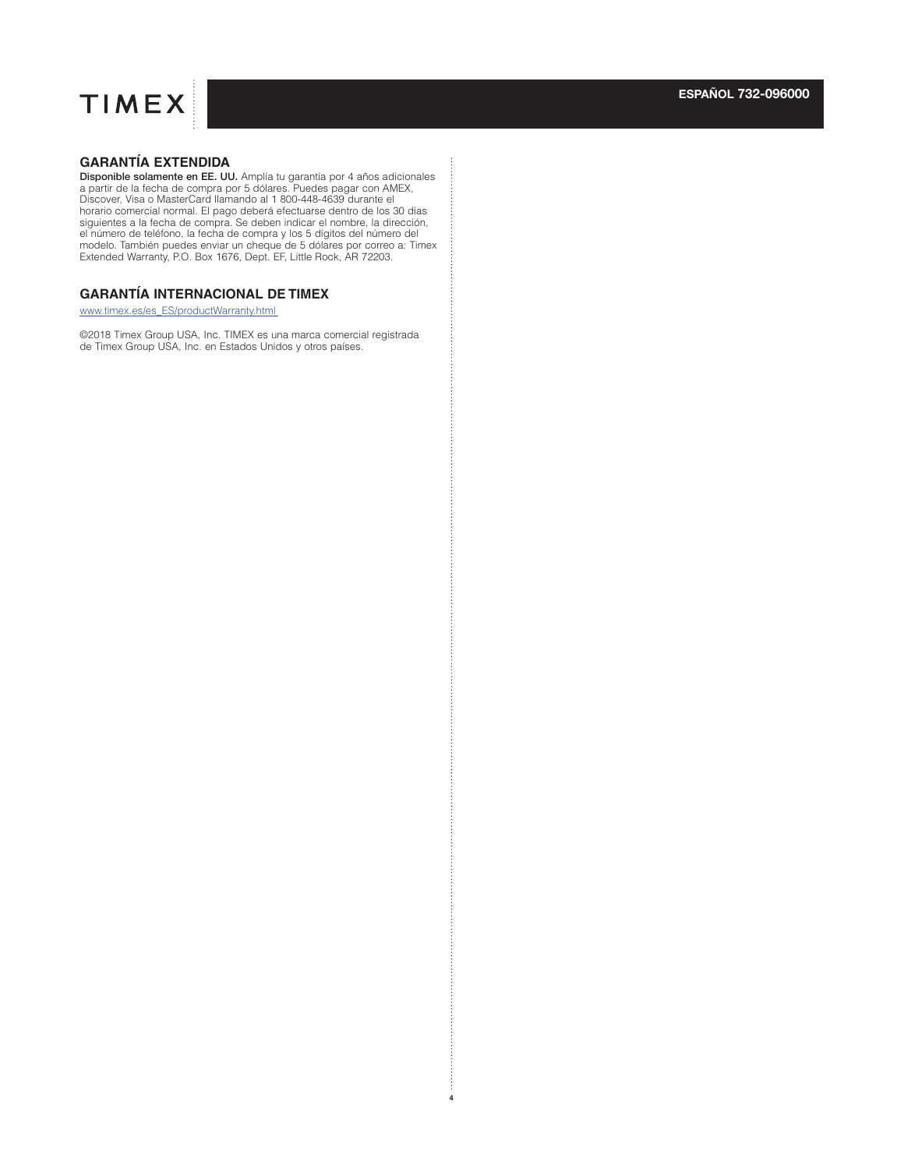## **GARANTÍA EXTENDIDA**

**Disponible solamente en EE. UU.** Amplía tu garantía por 4 años adicionales<br>a partir de la fecha de compra por 5 dólares. Puedes pagar con AMEX,<br>Discover, Visa o MasterCard llamando al 1 800-448-4639 durante el horario comercial normal. El pago deberá efectuarse dentro de los 30 días siguientes a la fecha de compra. Se deben indicar el nombre, la dirección, el número de teléfono, la fecha de compra y los 5 dígitos del número del modelo. También puedes enviar un cheque de 5 dólares por correo a: Timex Extended Warranty, P.O. Box 1676, Dept. EF, Little Rock, AR 72203.

## **GARANTÍA INTERNACIONAL DE TIMEX**

www.timex.es/es\_ES/productWarranty.html

©2018 Timex Group USA, Inc. TIMEX es una marca comercial registrada de Timex Group USA, Inc. en Estados Unidos y otros países.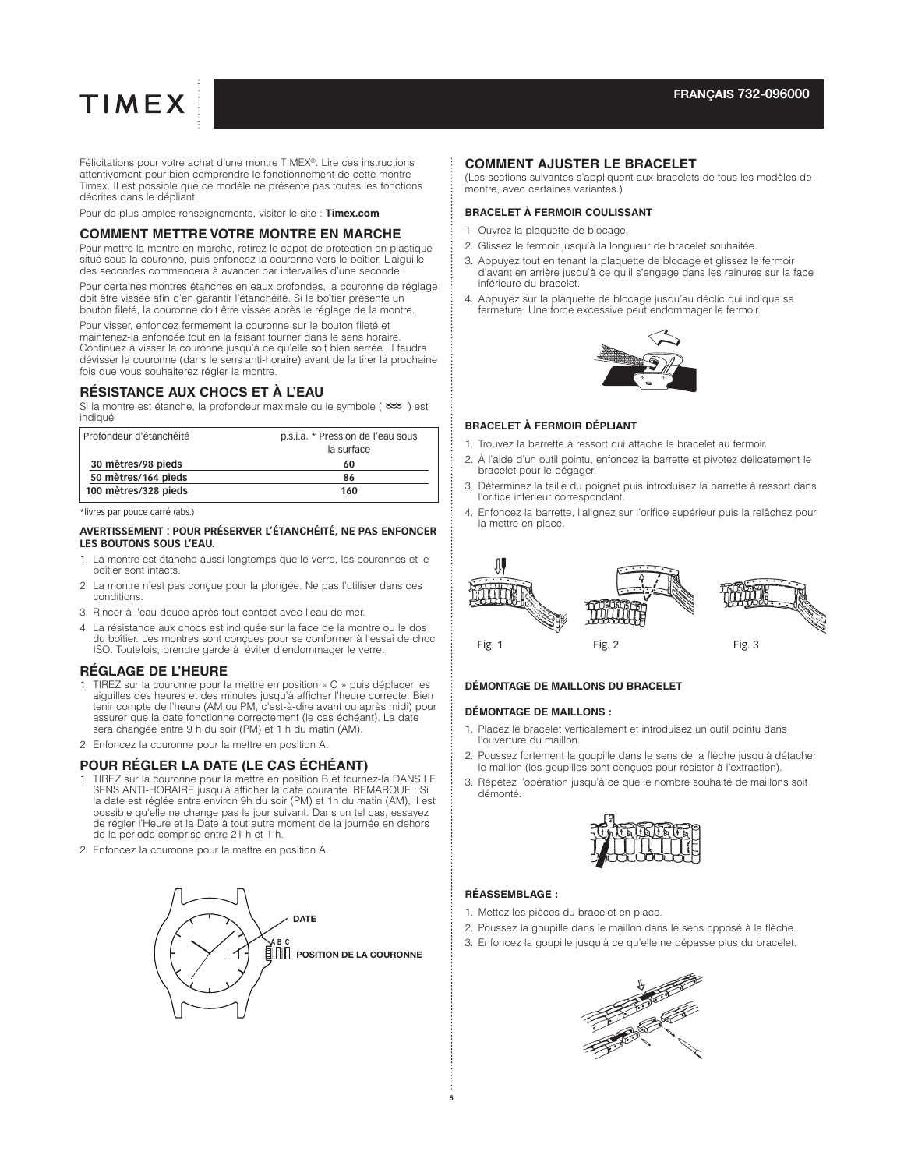Félicitations pour votre achat d'une montre TIMEX®. Lire ces instructions attentivement pour bien comprendre le fonctionnement de cette montre Timex. Il est possible que ce modèle ne présente pas toutes les fonctions décrites dans le dépliant.

Pour de plus amples renseignements, visiter le site : **Timex.com**

## **COMMENT METTRE VOTRE MONTRE EN MARCHE**

Pour mettre la montre en marche, retirez le capot de protection en plastique situé sous la couronne, puis enfoncez la couronne vers le boîtier. L'aiguille des secondes commencera à avancer par intervalles d'une seconde.

Pour certaines montres étanches en eaux profondes, la couronne de réglage doit être vissée afin d'en garantir l'étanchéité. Si le boîtier présente un bouton fileté, la couronne doit être vissée après le réglage de la montre.

Pour visser, enfoncez fermement la couronne sur le bouton fileté et maintenez-la enfoncée tout en la faisant tourner dans le sens horaire. Continuez à visser la couronne jusqu'à ce qu'elle soit bien serrée. Il faudra dévisser la couronne (dans le sens anti-horaire) avant de la tirer la prochaine fois que vous souhaiterez régler la montre.

#### **RÉSISTANCE AUX CHOCS ET À L'EAU**

Si la montre est étanche, la profondeur maximale ou le symbole ( $\infty$ ) est indiqué

| Profondeur d'étanchéité | p.s.i.a. * Pression de l'eau sous |
|-------------------------|-----------------------------------|
|                         | la surface                        |
| 30 mètres/98 pieds      | 60                                |
| 50 mètres/164 pieds     | 86                                |
| 100 mètres/328 pieds    | 160                               |

\*livres par pouce carré (abs.)

#### **AVERTISSEMENT : POUR PRÉSERVER L'ÉTANCHÉITÉ, NE PAS ENFONCER LES BOUTONS SOUS L'EAU.**

- 1. La montre est étanche aussi longtemps que le verre, les couronnes et le boîtier sont intacts.
- 2. La montre n'est pas conçue pour la plongée. Ne pas l'utiliser dans ces conditions.
- 3. Rincer à l'eau douce après tout contact avec l'eau de mer.
- 4. La résistance aux chocs est indiquée sur la face de la montre ou le dos du boîtier. Les montres sont conçues pour se conformer à l'essai de choc ISO. Toutefois, prendre garde à éviter d'endommager le verre.

#### **RÉGLAGE DE L'HEURE**

- 1. TIREZ sur la couronne pour la mettre en position « C » puis déplacer les aiguilles des heures et des minutes jusqu'à afficher l'heure correcte. Bien tenir compte de l'heure (AM ou PM, c'est-à-dire avant ou après midi) pour assurer que la date fonctionne correctement (le cas échéant). La date sera changée entre 9 h du soir (PM) et 1 h du matin (AM).
- 2. Enfoncez la couronne pour la mettre en position A.

#### **POUR RÉGLER LA DATE (LE CAS ÉCHÉANT)**

- 1. TIREZ sur la couronne pour la mettre en position B et tournez-la DANS LE SENS ANTI-HORAIRE jusqu'à afficher la date courante. REMARQUE : Si la date est réglée entre environ 9h du soir (PM) et 1h du matin (AM), il est possible qu'elle ne change pas le jour suivant. Dans un tel cas, essayez de régler l'Heure et la Date à tout autre moment de la journée en dehors de la période comprise entre 21 h et 1 h.
- 2. Enfoncez la couronne pour la mettre en position A.



#### **COMMENT AJUSTER LE BRACELET**

(Les sections suivantes s'appliquent aux bracelets de tous les modèles de montre, avec certaines variantes.)

#### **BRACELET À FERMOIR COULISSANT**

- 1 Ouvrez la plaquette de blocage.
- 2. Glissez le fermoir jusqu'à la longueur de bracelet souhaitée.
- 3. Appuyez tout en tenant la plaquette de blocage et glissez le fermoir d'avant en arrière jusqu'à ce qu'il s'engage dans les rainures sur la face inférieure du bracelet.
- 4. Appuyez sur la plaquette de blocage jusqu'au déclic qui indique sa fermeture. Une force excessive peut endommager le fermoir.



#### **BRACELET À FERMOIR DÉPLIANT**

- 1. Trouvez la barrette à ressort qui attache le bracelet au fermoir.
- 2. À l'aide d'un outil pointu, enfoncez la barrette et pivotez délicatement le bracelet pour le dégager.
- 3. Déterminez la taille du poignet puis introduisez la barrette à ressort dans l'orifice inférieur correspondant.
- 4. Enfoncez la barrette, l'alignez sur l'orifice supérieur puis la relâchez pour la mettre en place.



#### **DÉMONTAGE DE MAILLONS DU BRACELET**

#### **DÉMONTAGE DE MAILLONS :**

- 1. Placez le bracelet verticalement et introduisez un outil pointu dans l'ouverture du maillon.
- 2. Poussez fortement la goupille dans le sens de la flèche jusqu'à détacher le maillon (les goupilles sont conçues pour résister à l'extraction).
- 3. Répétez l'opération jusqu'à ce que le nombre souhaité de maillons soit démonté.



#### **RÉASSEMBLAGE :**

- 1. Mettez les pièces du bracelet en place.
- 2. Poussez la goupille dans le maillon dans le sens opposé à la flèche.
- 3. Enfoncez la goupille jusqu'à ce qu'elle ne dépasse plus du bracelet.

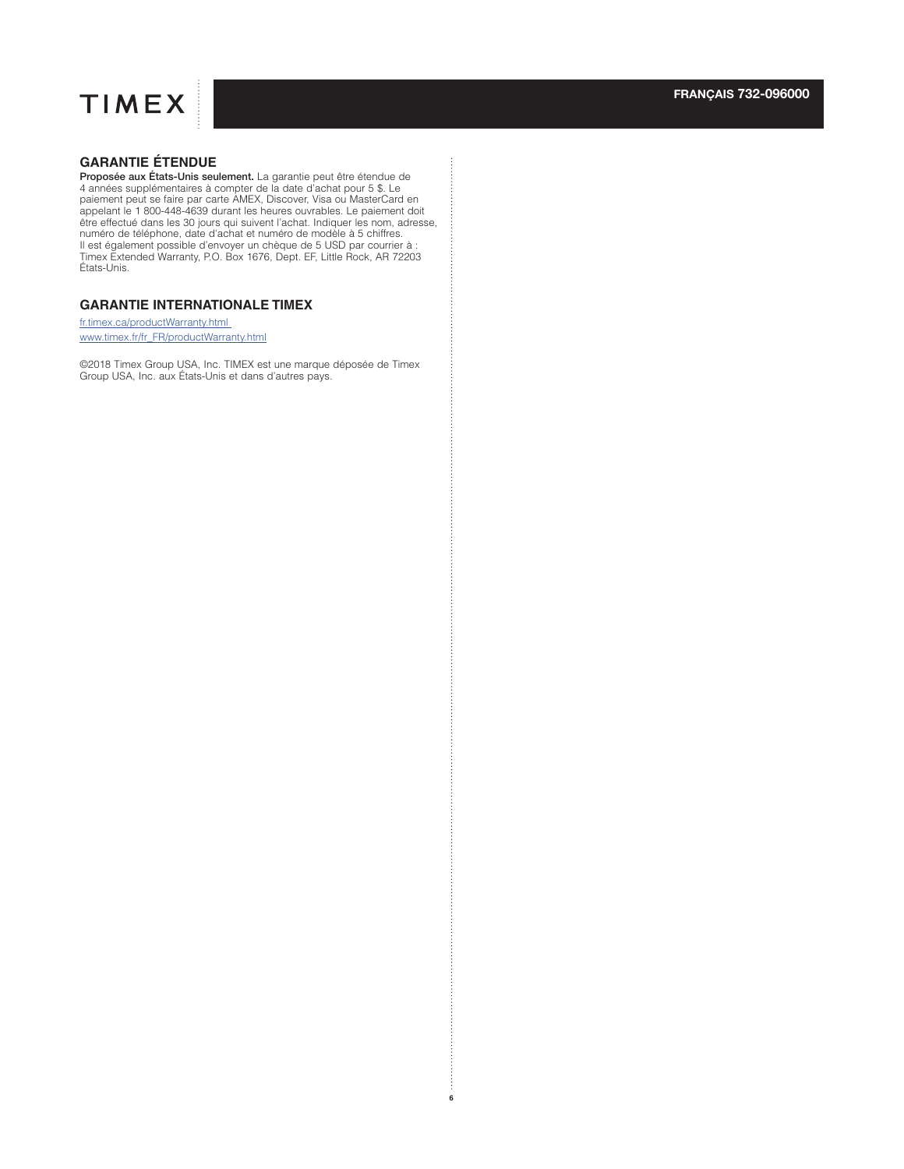

## **GARANTIE ÉTENDUE**

**Proposée aux États-Unis seulement.** La garantie peut être étendue de<br>4 années supplémentaires à compter de la date d'achat pour 5 \$. Le<br>paiement peut se faire par carte AMEX, Discover, Visa ou MasterCard en<br>appelant le 1 être effectué dans les 30 jours qui suivent l'achat. Indiquer les nom, adresse, numéro de téléphone, date d'achat et numéro de modèle à 5 chiffres. Il est également possible d'envoyer un chèque de 5 USD par courrier à : Timex Extended Warranty, P.O. Box 1676, Dept. EF, Little Rock, AR 72203 États-Unis.

## **GARANTIE INTERNATIONALE TIMEX**

fr.timex.ca/productWarranty.html www.timex.fr/fr\_FR/productWarranty.html

©2018 Timex Group USA, Inc. TIMEX est une marque déposée de Timex Group USA, Inc. aux États-Unis et dans d'autres pays.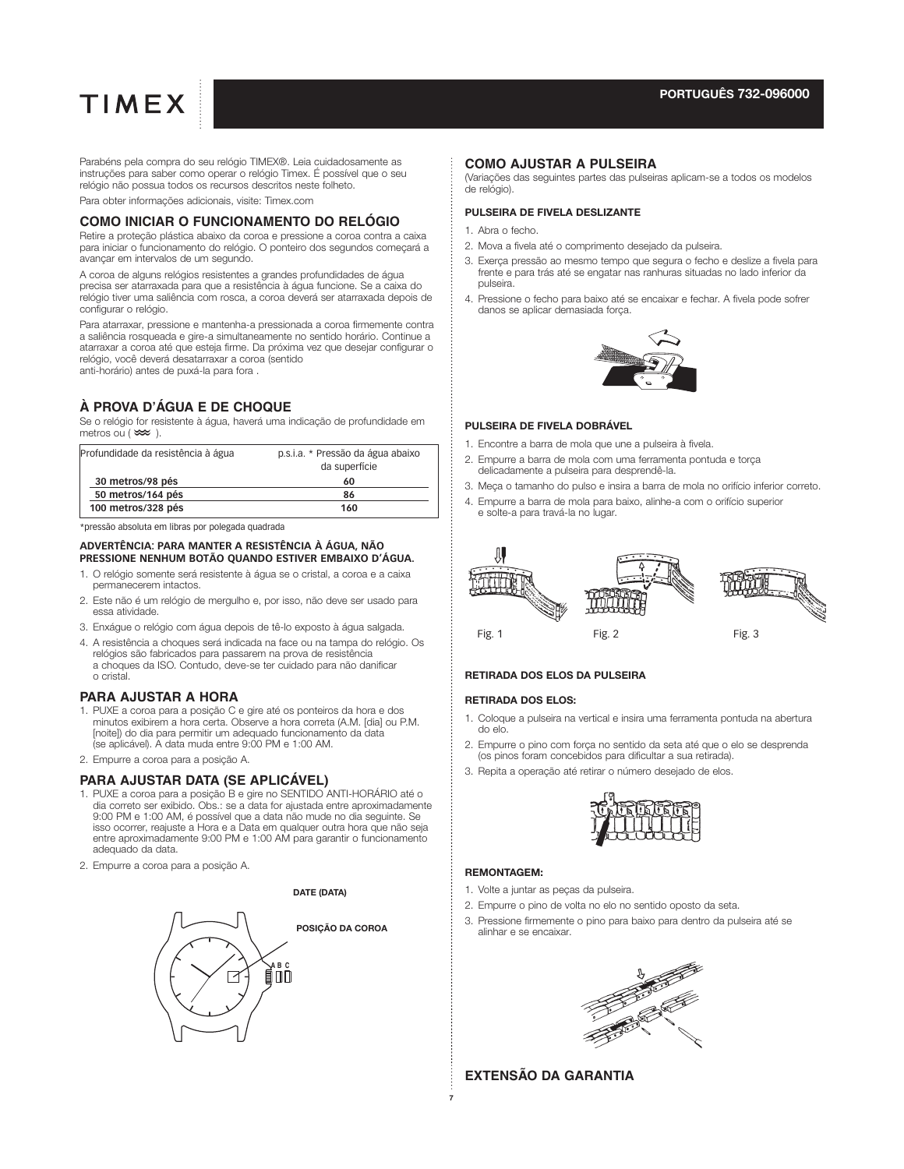Parabéns pela compra do seu relógio TIMEX®. Leia cuidadosamente as instruções para saber como operar o relógio Timex. É possível que o seu relógio não possua todos os recursos descritos neste folheto.

Para obter informações adicionais, visite: Timex.com

### **COMO INICIAR O FUNCIONAMENTO DO RELÓGIO**

Retire a proteção plástica abaixo da coroa e pressione a coroa contra a caixa para iniciar o funcionamento do relógio. O ponteiro dos segundos começará a avançar em intervalos de um segundo.

A coroa de alguns relógios resistentes a grandes profundidades de água precisa ser atarraxada para que a resistência à água funcione. Se a caixa do relógio tiver uma saliência com rosca, a coroa deverá ser atarraxada depois de configurar o relógio.

Para atarraxar, pressione e mantenha-a pressionada a coroa firmemente contra a saliência rosqueada e gire-a simultaneamente no sentido horário. Continue a atarraxar a coroa até que esteja firme. Da próxima vez que desejar configurar o relógio, você deverá desatarraxar a coroa (sentido anti-horário) antes de puxá-la para fora .

## **À PROVA D'ÁGUA E DE CHOQUE**

Se o relógio for resistente à água, haverá uma indicação de profundidade em metros ou  $(\infty)$ .

| p.s.i.a. * Pressão da água abaixo<br>da superfície |
|----------------------------------------------------|
| 60                                                 |
| 86                                                 |
| 160                                                |
|                                                    |

\*pressão absoluta em libras por polegada quadrada

#### **ADVERTÊNCIA: PARA MANTER A RESISTÊNCIA À ÁGUA, NÃO PRESSIONE NENHUM BOTÃO QUANDO ESTIVER EMBAIXO D'ÁGUA.**

- 1. O relógio somente será resistente à água se o cristal, a coroa e a caixa permanecerem intactos.
- 2. Este não é um relógio de mergulho e, por isso, não deve ser usado para essa atividade.
- 3. Enxágue o relógio com água depois de tê-lo exposto à água salgada.
- 4. A resistência a choques será indicada na face ou na tampa do relógio. Os relógios são fabricados para passarem na prova de resistência a choques da ISO. Contudo, deve-se ter cuidado para não danificar o cristal.

### **PARA AJUSTAR A HORA**

- 1. PUXE a coroa para a posição C e gire até os ponteiros da hora e dos minutos exibirem a hora certa. Observe a hora correta (A.M. [dia] ou P.M. [noite]) do dia para permitir um adequado funcionamento da data (se aplicável). A data muda entre 9:00 PM e 1:00 AM.
- 2. Empurre a coroa para a posição A.

## **PARA AJUSTAR DATA (SE APLICÁVEL)**

- 1. PUXE a coroa para a posição B e gire no SENTIDO ANTI-HORÁRIO até o dia correto ser exibido. Obs.: se a data for ajustada entre aproximadamente 9:00 PM e 1:00 AM, é possível que a data não mude no dia seguinte. Se isso ocorrer, reajuste a Hora e a Data em qualquer outra hora que não seja entre aproximadamente 9:00 PM e 1:00 AM para garantir o funcionamento adequado da data.
- 2. Empurre a coroa para a posição A.

#### **DATE (DATA)**



#### **COMO AJUSTAR A PULSEIRA**

(Variações das seguintes partes das pulseiras aplicam-se a todos os modelos de relógio).

#### PULSEIRA DE FIVELA DESLIZANTE

- 1. Abra o fecho.
- 2. Mova a fivela até o comprimento desejado da pulseira.
- 3. Exerça pressão ao mesmo tempo que segura o fecho e deslize a fivela para frente e para trás até se engatar nas ranhuras situadas no lado inferior da pulseira.
- 4. Pressione o fecho para baixo até se encaixar e fechar. A fivela pode sofrer danos se aplicar demasiada força.



#### PULSEIRA DE FIVELA DOBRÁVEL

- 1. Encontre a barra de mola que une a pulseira à fivela.
- 2. Empurre a barra de mola com uma ferramenta pontuda e torça delicadamente a pulseira para desprendê-la.
- 3. Meça o tamanho do pulso e insira a barra de mola no orifício inferior correto.
- 4. Empurre a barra de mola para baixo, alinhe-a com o orifício superior e solte-a para travá-la no lugar.



#### RETIRADA DOS ELOS DA PULSEIRA

#### RETIRADA DOS ELOS:

- 1. Coloque a pulseira na vertical e insira uma ferramenta pontuda na abertura do elo.
- 2. Empurre o pino com força no sentido da seta até que o elo se desprenda (os pinos foram concebidos para dificultar a sua retirada).
- 3. Repita a operação até retirar o número desejado de elos.



#### REMONTAGEM:

- 1. Volte a juntar as peças da pulseira.
- 2. Empurre o pino de volta no elo no sentido oposto da seta.
- 3. Pressione firmemente o pino para baixo para dentro da pulseira até se alinhar e se encaixar.



### **EXTENSÃO DA GARANTIA**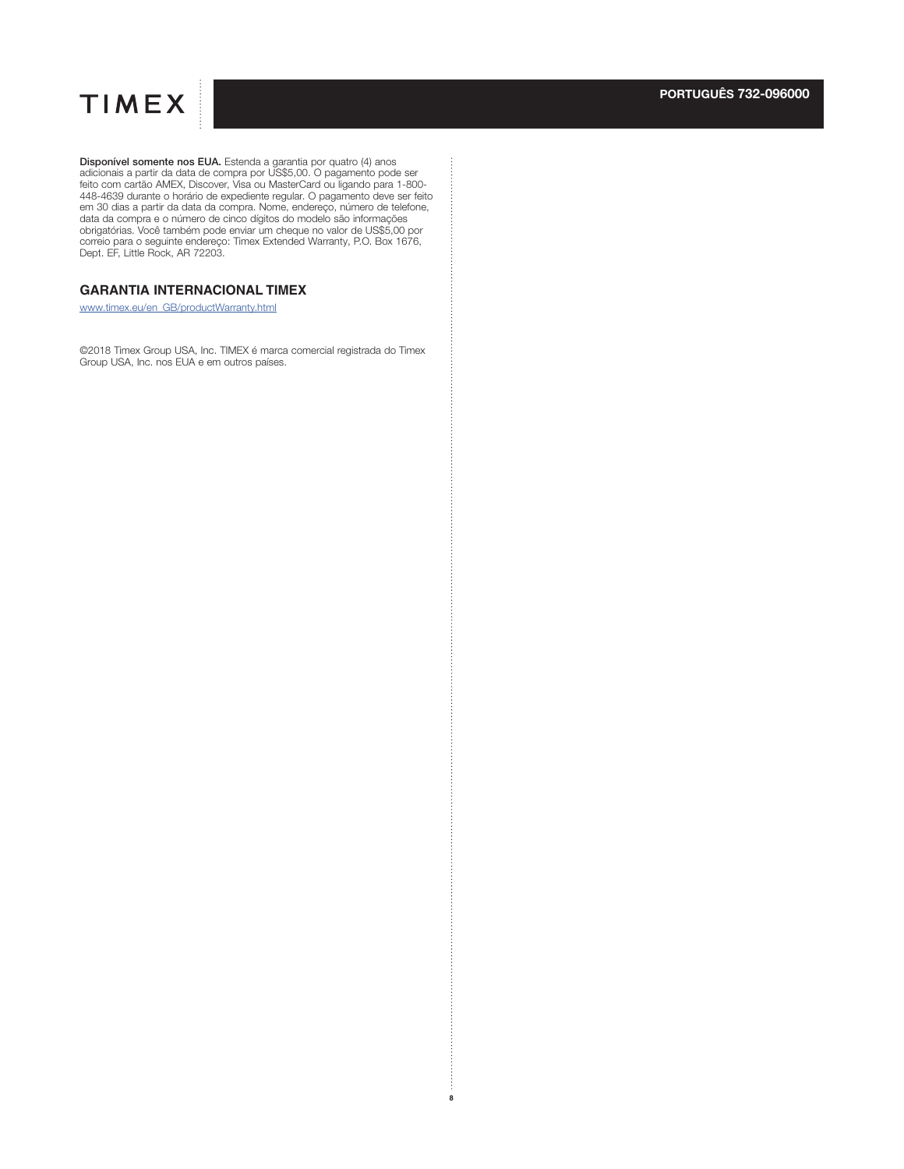

**Disponível somente nos EUA.** Estenda a garantia por quatro (4) anos adicionais a partir da data de compra por US\$5,00. O pagamento pode ser feito com cartão AMEX, Discover, Visa ou MasterCard ou ligando para 1-800-44539 d correio para o seguinte endereço: Timex Extended Warranty, P.O. Box 1676, Dept. EF, Little Rock, AR 72203.

## **GARANTIA INTERNACIONAL TIMEX**

www.timex.eu/en\_GB/productWarranty.html

©2018 Timex Group USA, Inc. TIMEX é marca comercial registrada do Timex Group USA, Inc. nos EUA e em outros países.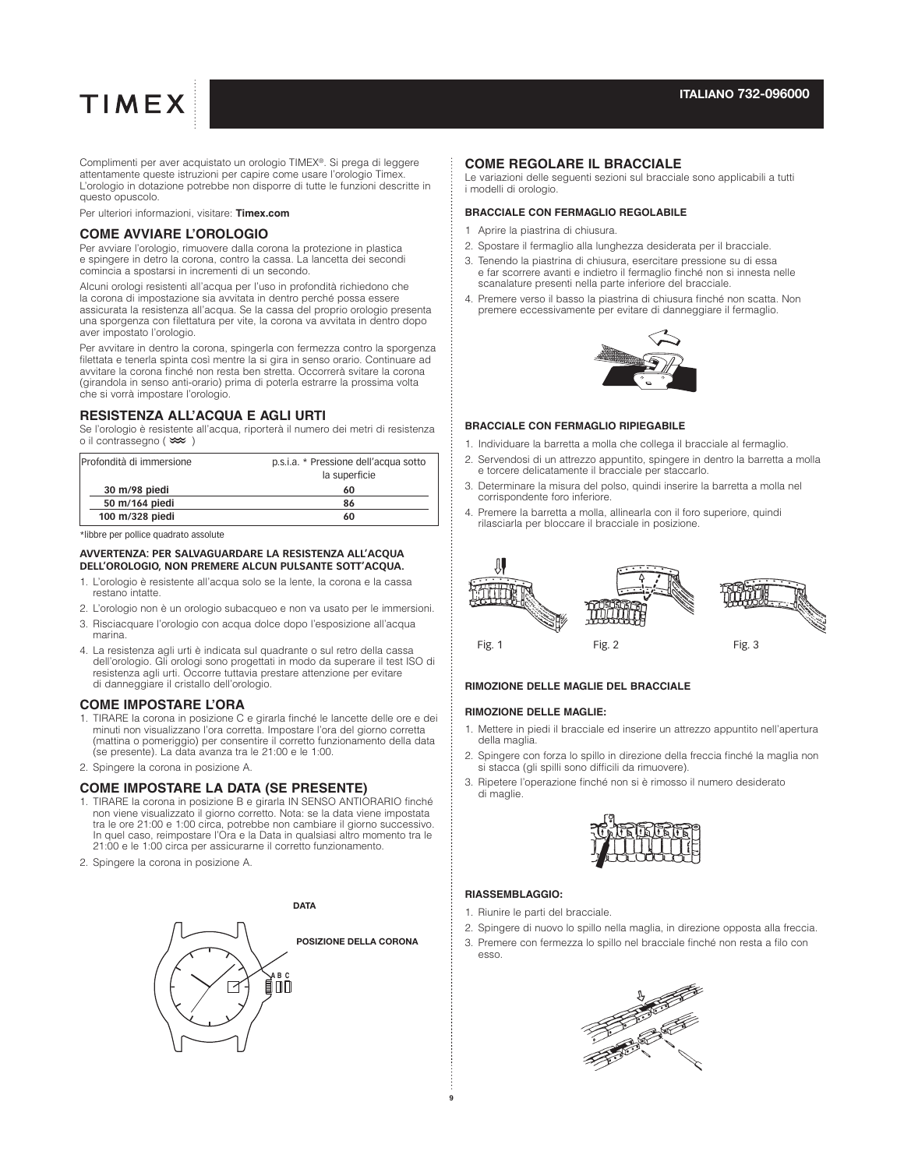Complimenti per aver acquistato un orologio TIMEX®. Si prega di leggere attentamente queste istruzioni per capire come usare l'orologio Timex. L'orologio in dotazione potrebbe non disporre di tutte le funzioni descritte in questo opuscolo.

Per ulteriori informazioni, visitare: **Timex.com**

#### **COME AVVIARE L'OROLOGIO**

Per avviare l'orologio, rimuovere dalla corona la protezione in plastica e spingere in detro la corona, contro la cassa. La lancetta dei secondi comincia a spostarsi in incrementi di un secondo.

Alcuni orologi resistenti all'acqua per l'uso in profondità richiedono che la corona di impostazione sia avvitata in dentro perché possa essere assicurata la resistenza all'acqua. Se la cassa del proprio orologio presenta una sporgenza con filettatura per vite, la corona va avvitata in dentro dopo aver impostato l'orologio.

Per avvitare in dentro la corona, spingerla con fermezza contro la sporgenza filettata e tenerla spinta così mentre la si gira in senso orario. Continuare ad avvitare la corona finché non resta ben stretta. Occorrerà svitare la corona (girandola in senso anti-orario) prima di poterla estrarre la prossima volta che si vorrà impostare l'orologio.

#### **RESISTENZA ALL'ACQUA E AGLI URTI**

Se l'orologio è resistente all'acqua, riporterà il numero dei metri di resistenza o il contrassegno  $(\infty)$ 

| IProfondità di immersione | p.s.i.a. * Pressione dell'acqua sotto<br>la superficie |
|---------------------------|--------------------------------------------------------|
| 30 m/98 piedi             | 60                                                     |
| 50 m/164 piedi            | 86                                                     |
| 100 m/328 piedi           | 60                                                     |

\*libbre per pollice quadrato assolute

#### **AVVERTENZA: PER SALVAGUARDARE LA RESISTENZA ALL'ACQUA DELL'OROLOGIO, NON PREMERE ALCUN PULSANTE SOTT'ACQUA.**

- 1. L'orologio è resistente all'acqua solo se la lente, la corona e la cassa restano intatte.
- 2. L'orologio non è un orologio subacqueo e non va usato per le immersioni.
- 3. Risciacquare l'orologio con acqua dolce dopo l'esposizione all'acqua marina.
- 4. La resistenza agli urti è indicata sul quadrante o sul retro della cassa dell'orologio. Gli orologi sono progettati in modo da superare il test ISO di resistenza agli urti. Occorre tuttavia prestare attenzione per evitare di danneggiare il cristallo dell'orologio.

#### **COME IMPOSTARE L'ORA**

- 1. TIRARE la corona in posizione C e girarla finché le lancette delle ore e dei minuti non visualizzano l'ora corretta. Impostare l'ora del giorno corretta (mattina o pomeriggio) per consentire il corretto funzionamento della data (se presente). La data avanza tra le 21:00 e le 1:00.
- 2. Spingere la corona in posizione A.

#### **COME IMPOSTARE LA DATA (SE PRESENTE)**

- 1. TIRARE la corona in posizione B e girarla IN SENSO ANTIORARIO finché non viene visualizzato il giorno corretto. Nota: se la data viene impostata tra le ore 21:00 e 1:00 circa, potrebbe non cambiare il giorno successivo. In quel caso, reimpostare l'Ora e la Data in qualsiasi altro momento tra le 21:00 e le 1:00 circa per assicurarne il corretto funzionamento.
- 2. Spingere la corona in posizione A.



#### **COME REGOLARE IL BRACCIALE**

Le variazioni delle seguenti sezioni sul bracciale sono applicabili a tutti i modelli di orologio.

#### **BRACCIALE CON FERMAGLIO REGOLABILE**

- 1 Aprire la piastrina di chiusura.
- 2. Spostare il fermaglio alla lunghezza desiderata per il bracciale.
- 3. Tenendo la piastrina di chiusura, esercitare pressione su di essa e far scorrere avanti e indietro il fermaglio finché non si innesta nelle scanalature presenti nella parte inferiore del bracciale.
- 4. Premere verso il basso la piastrina di chiusura finché non scatta. Non premere eccessivamente per evitare di danneggiare il fermaglio.



#### **BRACCIALE CON FERMAGLIO RIPIEGABILE**

- 1. Individuare la barretta a molla che collega il bracciale al fermaglio.
- 2. Servendosi di un attrezzo appuntito, spingere in dentro la barretta a molla e torcere delicatamente il bracciale per staccarlo.
- 3. Determinare la misura del polso, quindi inserire la barretta a molla nel corrispondente foro inferiore.
- 4. Premere la barretta a molla, allinearla con il foro superiore, quindi rilasciarla per bloccare il bracciale in posizione.



#### **RIMOZIONE DELLE MAGLIE DEL BRACCIALE**

#### **RIMOZIONE DELLE MAGLIE:**

- 1. Mettere in piedi il bracciale ed inserire un attrezzo appuntito nell'apertura della maglia.
- 2. Spingere con forza lo spillo in direzione della freccia finché la maglia non si stacca (gli spilli sono difficili da rimuovere).
- 3. Ripetere l'operazione finché non si è rimosso il numero desiderato di maglie.



#### **RIASSEMBLAGGIO:**

- 1. Riunire le parti del bracciale.
- 2. Spingere di nuovo lo spillo nella maglia, in direzione opposta alla freccia.
- 3. Premere con fermezza lo spillo nel bracciale finché non resta a filo con esso.

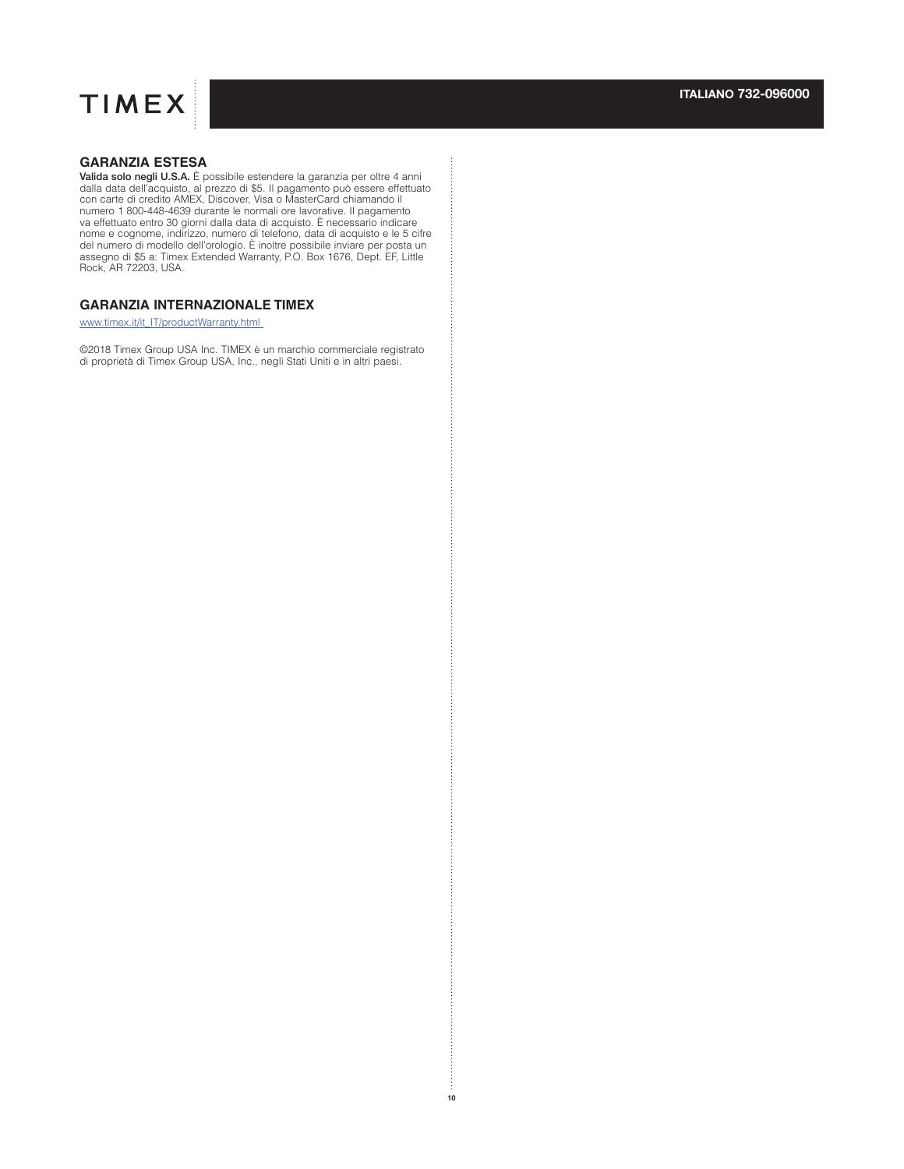

## **GARANZIA ESTESA**

**Valida solo negli U.S.A.** È possibile estendere la garanzia per oltre 4 anni<br>dalla data dell'acquisto, al prezzo di \$5. Il pagamento può essere effettuato<br>con carte di credito AMEX, Discover, Visa o MasterCard chiamando i va effettuato entro 30 giorni dalla data di acquisto. È necessario indicare nome e cognome, indirizzo, numero di telefono, data di acquisto e le 5 cifre<br>del numero di modello dell'orologio. È inoltre possibile inviare per posta un<br>assegno di \$5 a: Timex Extended Warranty, P.O. Box 1676, Dept. EF, Rock, AR 72203, USA.

## **GARANZIA INTERNAZIONALE TIMEX**

www.timex.it/it\_IT/productWarranty.html

©2018 Timex Group USA Inc. TIMEX è un marchio commerciale registrato di proprietà di Timex Group USA, Inc., negli Stati Uniti e in altri paesi.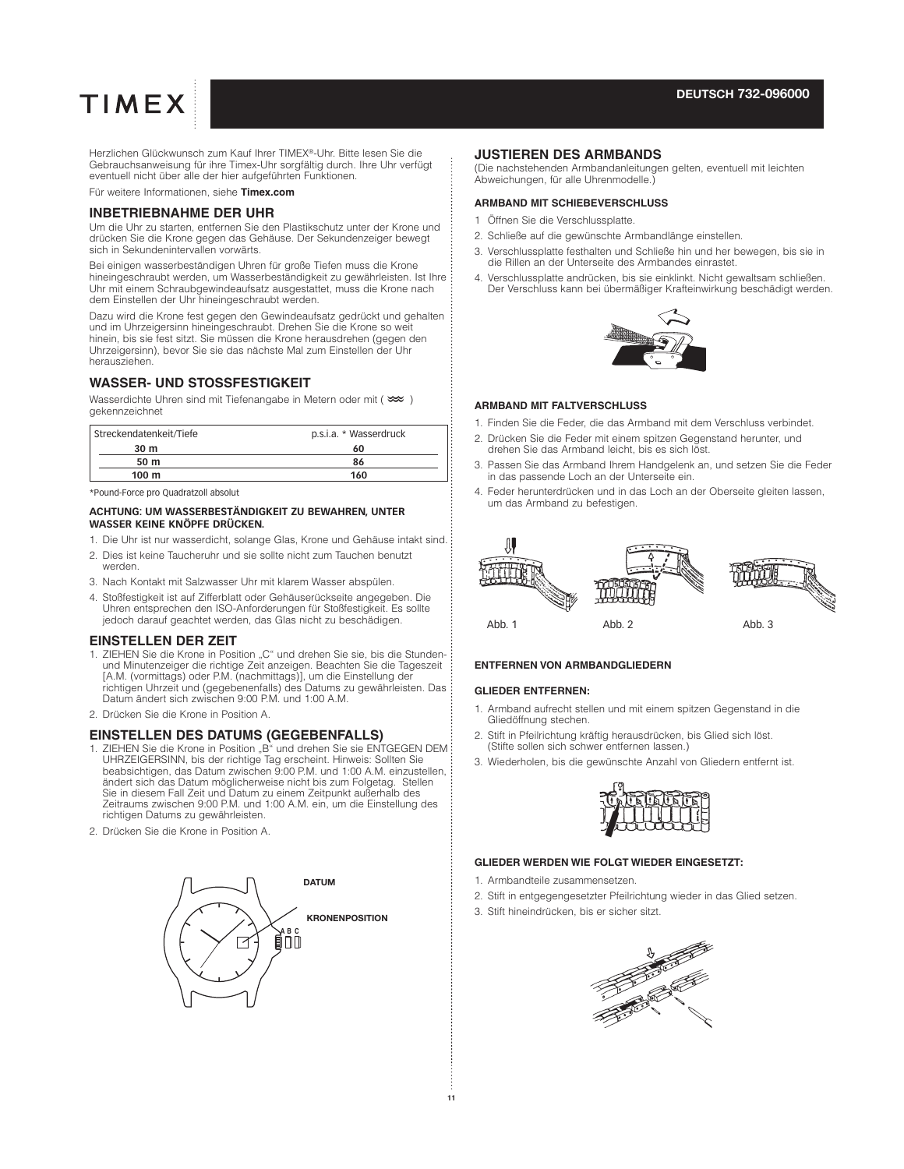#### **DEUTSCH 732-096000**

# **TIMEX**

Herzlichen Glückwunsch zum Kauf Ihrer TIMEX®-Uhr. Bitte lesen Sie die Gebrauchsanweisung für ihre Timex-Uhr sorgfältig durch. Ihre Uhr verfügt eventuell nicht über alle der hier aufgeführten Funktionen.

Für weitere Informationen, siehe **Timex.com**

#### **INBETRIEBNAHME DER UHR**

Um die Uhr zu starten, entfernen Sie den Plastikschutz unter der Krone und drücken Sie die Krone gegen das Gehäuse. Der Sekundenzeiger bewegt sich in Sekundenintervallen vorwärts.

Bei einigen wasserbeständigen Uhren für große Tiefen muss die Krone hineingeschraubt werden, um Wasserbeständigkeit zu gewährleisten. Ist Ihre Uhr mit einem Schraubgewindeaufsatz ausgestattet, muss die Krone nach dem Einstellen der Uhr hineingeschraubt werden.

Dazu wird die Krone fest gegen den Gewindeaufsatz gedrückt und gehalten und im Uhrzeigersinn hineingeschraubt. Drehen Sie die Krone so weit hinein, bis sie fest sitzt. Sie müssen die Krone herausdrehen (gegen den Uhrzeigersinn), bevor Sie sie das nächste Mal zum Einstellen der Uhr herausziehen.

### **WASSER- UND STOSSFESTIGKEIT**

Wasserdichte Uhren sind mit Tiefenangabe in Metern oder mit ( $\infty$ ) gekennzeichnet

| Streckendatenkeit/Tiefe | p.s.i.a. * Wasserdruck |
|-------------------------|------------------------|
| 30 m                    | 60                     |
| 50 m                    | 86                     |
| 100 <sub>m</sub>        | 160                    |

\*Pound-Force pro Quadratzoll absolut

#### **ACHTUNG: UM WASSERBESTÄNDIGKEIT ZU BEWAHREN, UNTER WASSER KEINE KNÖPFE DRÜCKEN.**

- 1. Die Uhr ist nur wasserdicht, solange Glas, Krone und Gehäuse intakt sind.
- 2. Dies ist keine Taucheruhr und sie sollte nicht zum Tauchen benutzt werden.
- 3. Nach Kontakt mit Salzwasser Uhr mit klarem Wasser abspülen.
- 4. Stoßfestigkeit ist auf Zifferblatt oder Gehäuserückseite angegeben. Die Uhren entsprechen den ISO-Anforderungen für Stoßfestigkeit. Es sollte jedoch darauf geachtet werden, das Glas nicht zu beschädigen.

#### **EINSTELLEN DER ZEIT**

- 1. ZIEHEN Sie die Krone in Position "C" und drehen Sie sie, bis die Stundenund Minutenzeiger die richtige Zeit anzeigen. Beachten Sie die Tageszeit [A.M. (vormittags) oder P.M. (nachmittags)], um die Einstellung der richtigen Uhrzeit und (gegebenenfalls) des Datums zu gewährleisten. Das Datum ändert sich zwischen 9:00 P.M. und 1:00 A.M.
- 2. Drücken Sie die Krone in Position A.

#### **EINSTELLEN DES DATUMS (GEGEBENFALLS)**

- 1. ZIEHEN Sie die Krone in Position "B" und drehen Sie sie ENTGEGEN DEM UHRZEIGERSINN, bis der richtige Tag erscheint. Hinweis: Sollten Sie beabsichtigen, das Datum zwischen 9:00 P.M. und 1:00 A.M. einzustellen, ändert sich das Datum möglicherweise nicht bis zum Folgetag. Stellen Sie in diesem Fall Zeit und Datum zu einem Zeitpunkt außerhalb des Zeitraums zwischen 9:00 P.M. und 1:00 A.M. ein, um die Einstellung des richtigen Datums zu gewährleisten.
- 2. Drücken Sie die Krone in Position A.



#### **JUSTIEREN DES ARMBANDS**

(Die nachstehenden Armbandanleitungen gelten, eventuell mit leichten Abweichungen, für alle Uhrenmodelle.)

#### **ARMBAND MIT SCHIEBEVERSCHLUSS**

- 1 Öffnen Sie die Verschlussplatte.
- 2. Schließe auf die gewünschte Armbandlänge einstellen.
- 3. Verschlussplatte festhalten und Schließe hin und her bewegen, bis sie in die Rillen an der Unterseite des Armbandes einrastet.
- 4. Verschlussplatte andrücken, bis sie einklinkt. Nicht gewaltsam schließen. Der Verschluss kann bei übermäßiger Krafteinwirkung beschädigt werden.



#### **ARMBAND MIT FALTVERSCHLUSS**

- 1. Finden Sie die Feder, die das Armband mit dem Verschluss verbindet.
- 2. Drücken Sie die Feder mit einem spitzen Gegenstand herunter, und drehen Sie das Armband leicht, bis es sich löst.
- 3. Passen Sie das Armband Ihrem Handgelenk an, und setzen Sie die Feder in das passende Loch an der Unterseite ein.
- 4. Feder herunterdrücken und in das Loch an der Oberseite gleiten lassen, um das Armband zu befestigen.



#### **ENTFERNEN VON ARMBANDGLIEDERN**

#### **GLIEDER ENTFERNEN:**

- 1. Armband aufrecht stellen und mit einem spitzen Gegenstand in die Gliedöffnung stechen.
- 2. Stift in Pfeilrichtung kräftig herausdrücken, bis Glied sich löst. (Stifte sollen sich schwer entfernen lassen.)
- 3. Wiederholen, bis die gewünschte Anzahl von Gliedern entfernt ist.



#### **GLIEDER WERDEN WIE FOLGT WIEDER EINGESETZT:**

1. Armbandteile zusammensetzen.

- 2. Stift in entgegengesetzter Pfeilrichtung wieder in das Glied setzen.
- 3. Stift hineindrücken, bis er sicher sitzt. **KRONENPOSITION**

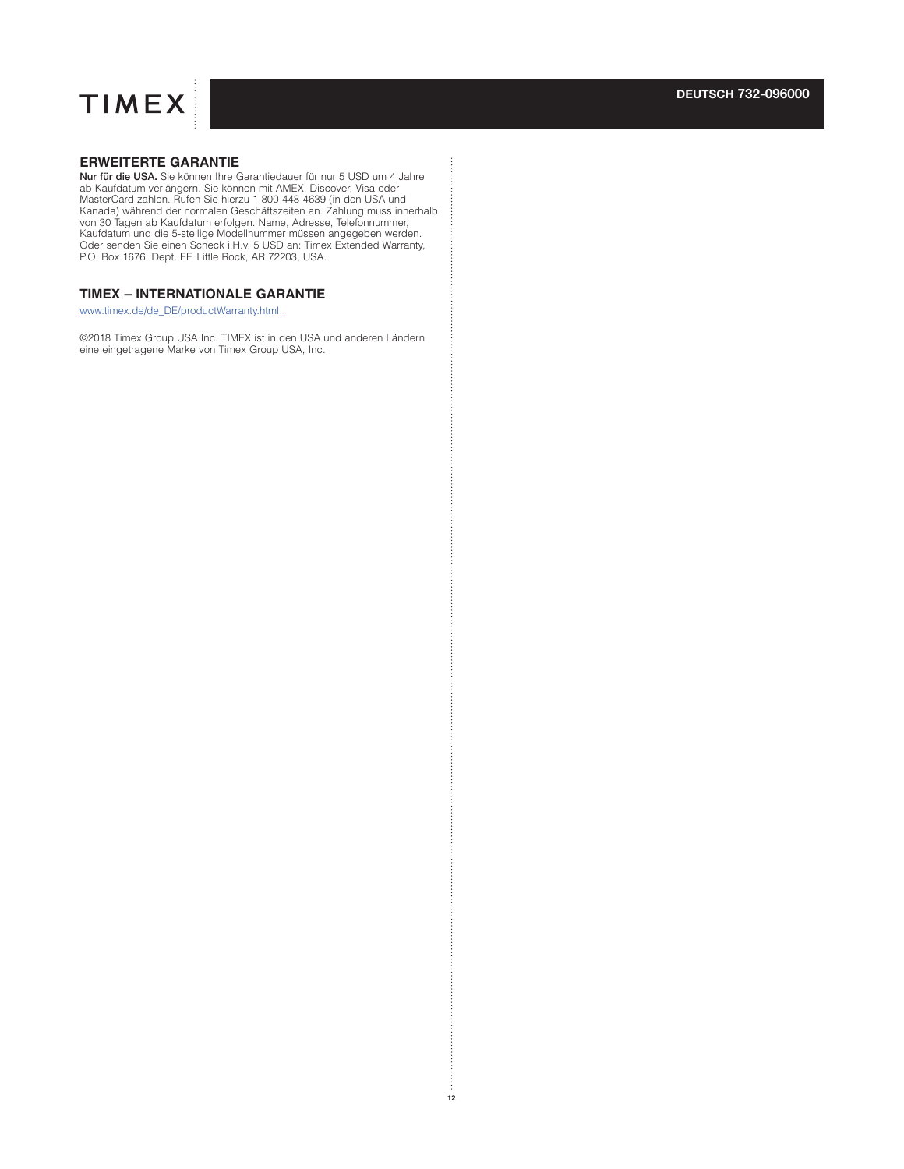

## **ERWEITERTE GARANTIE**

**Nur für die USA.** Sie können Ihre Garantiedauer für nur 5 USD um 4 Jahre<br>ab Kaufdatum verlängern. Sie können mit AMEX, Discover, Visa oder<br>MasterCard zahlen. Rufen Sie hierzu 1 800-448-4639 (in den USA und<br>Kanada) während Kaufdatum und die 5-stellige Modellnummer müssen angegeben werden. Oder senden Sie einen Scheck i.H.v. 5 USD an: Timex Extended Warranty, P.O. Box 1676, Dept. EF, Little Rock, AR 72203, USA.

## **TIMEX – INTERNATIONALE GARANTIE**

www.timex.de/de\_DE/productWarranty.html

©2018 Timex Group USA Inc. TIMEX ist in den USA und anderen Ländern eine eingetragene Marke von Timex Group USA, Inc.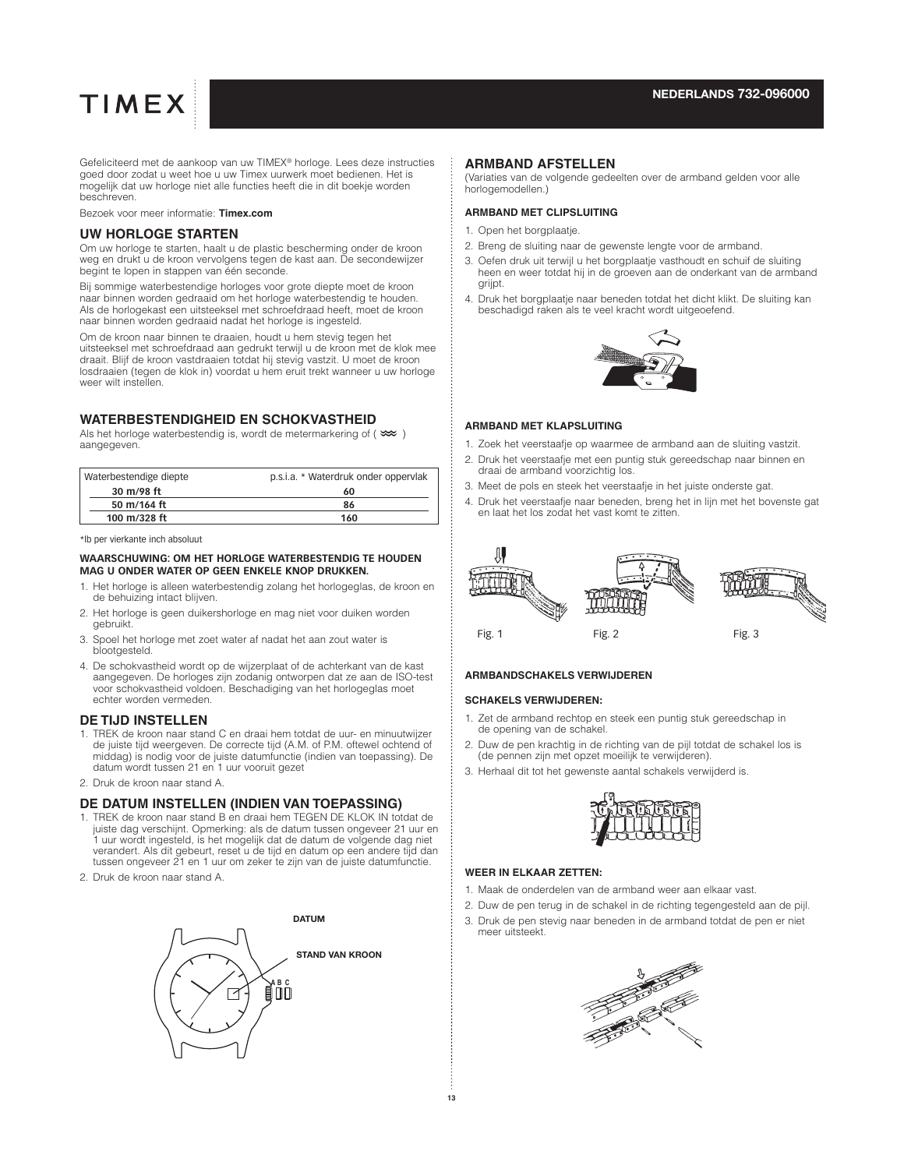#### **NEDERLANDS 732-096000**

# **TIMEX**

Gefeliciteerd met de aankoop van uw TIMEX® horloge. Lees deze instructies goed door zodat u weet hoe u uw Timex uurwerk moet bedienen. Het is mogelijk dat uw horloge niet alle functies heeft die in dit boekje worden beschreven.

Bezoek voor meer informatie: **Timex.com**

#### **UW HORLOGE STARTEN**

Om uw horloge te starten, haalt u de plastic bescherming onder de kroon weg en drukt u de kroon vervolgens tegen de kast aan. De secondewijzer begint te lopen in stappen van één seconde.

Bij sommige waterbestendige horloges voor grote diepte moet de kroon naar binnen worden gedraaid om het horloge waterbestendig te houden. Als de horlogekast een uitsteeksel met schroefdraad heeft, moet de kroon naar binnen worden gedraaid nadat het horloge is ingesteld.

Om de kroon naar binnen te draaien, houdt u hem stevig tegen het uitsteeksel met schroefdraad aan gedrukt terwijl u de kroon met de klok mee draait. Blijf de kroon vastdraaien totdat hij stevig vastzit. U moet de kroon losdraaien (tegen de klok in) voordat u hem eruit trekt wanneer u uw horloge weer wilt instellen.

## **WATERBESTENDIGHEID EN SCHOKVASTHEID**

Als het horloge waterbestendig is, wordt de metermarkering of ( $\infty$ ) aangegeven.

| Waterbestendige diepte | p.s.i.a. * Waterdruk onder oppervlak |
|------------------------|--------------------------------------|
| 30 m/98 ft             | 60                                   |
| 50 m/164 ft            | 86                                   |
| 100 m/328 ft           | 160                                  |

\*lb per vierkante inch absoluut

#### **WAARSCHUWING: OM HET HORLOGE WATERBESTENDIG TE HOUDEN MAG U ONDER WATER OP GEEN ENKELE KNOP DRUKKEN.**

- 1. Het horloge is alleen waterbestendig zolang het horlogeglas, de kroon en de behuizing intact blijven.
- 2. Het horloge is geen duikershorloge en mag niet voor duiken worden gebruikt.
- 3. Spoel het horloge met zoet water af nadat het aan zout water is blootgesteld.
- 4. De schokvastheid wordt op de wijzerplaat of de achterkant van de kast aangegeven. De horloges zijn zodanig ontworpen dat ze aan de ISO-test voor schokvastheid voldoen. Beschadiging van het horlogeglas moet echter worden vermeden.

## **DE TIJD INSTELLEN**

- 1. TREK de kroon naar stand C en draai hem totdat de uur- en minuutwijzer de juiste tijd weergeven. De correcte tijd (A.M. of P.M. oftewel ochtend of middag) is nodig voor de juiste datumfunctie (indien van toepassing). De datum wordt tussen 21 en 1 uur vooruit gezet
- 2. Druk de kroon naar stand A.

#### **DE DATUM INSTELLEN (INDIEN VAN TOEPASSING)**

- 1. TREK de kroon naar stand B en draai hem TEGEN DE KLOK IN totdat de juiste dag verschijnt. Opmerking: als de datum tussen ongeveer 21 uur en 1 uur wordt ingesteld, is het mogelijk dat de datum de volgende dag niet verandert. Als dit gebeurt, reset u de tijd en datum op een andere tijd dan tussen ongeveer 21 en 1 uur om zeker te zijn van de juiste datumfunctie.
- 2. Druk de kroon naar stand A.



#### **ARMBAND AFSTELLEN**

(Variaties van de volgende gedeelten over de armband gelden voor alle horlogemodellen.)

#### **ARMBAND MET CLIPSLUITING**

- 1. Open het borgplaatje.
- 2. Breng de sluiting naar de gewenste lengte voor de armband.
- 3. Oefen druk uit terwijl u het borgplaatje vasthoudt en schuif de sluiting heen en weer totdat hij in de groeven aan de onderkant van de armband grijpt.
- 4. Druk het borgplaatje naar beneden totdat het dicht klikt. De sluiting kan beschadigd raken als te veel kracht wordt uitgeoefend.



#### **ARMBAND MET KLAPSLUITING**

- 1. Zoek het veerstaafje op waarmee de armband aan de sluiting vastzit.
- 2. Druk het veerstaafje met een puntig stuk gereedschap naar binnen en draai de armband voorzichtig los.
- 3. Meet de pols en steek het veerstaafje in het juiste onderste gat.
- 4. Druk het veerstaafje naar beneden, breng het in lijn met het bovenste gat en laat het los zodat het vast komt te zitten.



#### **ARMBANDSCHAKELS VERWIJDEREN**

#### **SCHAKELS VERWIJDEREN:**

- 1. Zet de armband rechtop en steek een puntig stuk gereedschap in de opening van de schakel.
- 2. Duw de pen krachtig in de richting van de pijl totdat de schakel los is (de pennen zijn met opzet moeilijk te verwijderen).
- 3. Herhaal dit tot het gewenste aantal schakels verwijderd is.



#### **WEER IN ELKAAR ZETTEN:**

- 1. Maak de onderdelen van de armband weer aan elkaar vast.
- 2. Duw de pen terug in de schakel in de richting tegengesteld aan de pijl.
- 3. Druk de pen stevig naar beneden in de armband totdat de pen er niet meer uitsteekt.

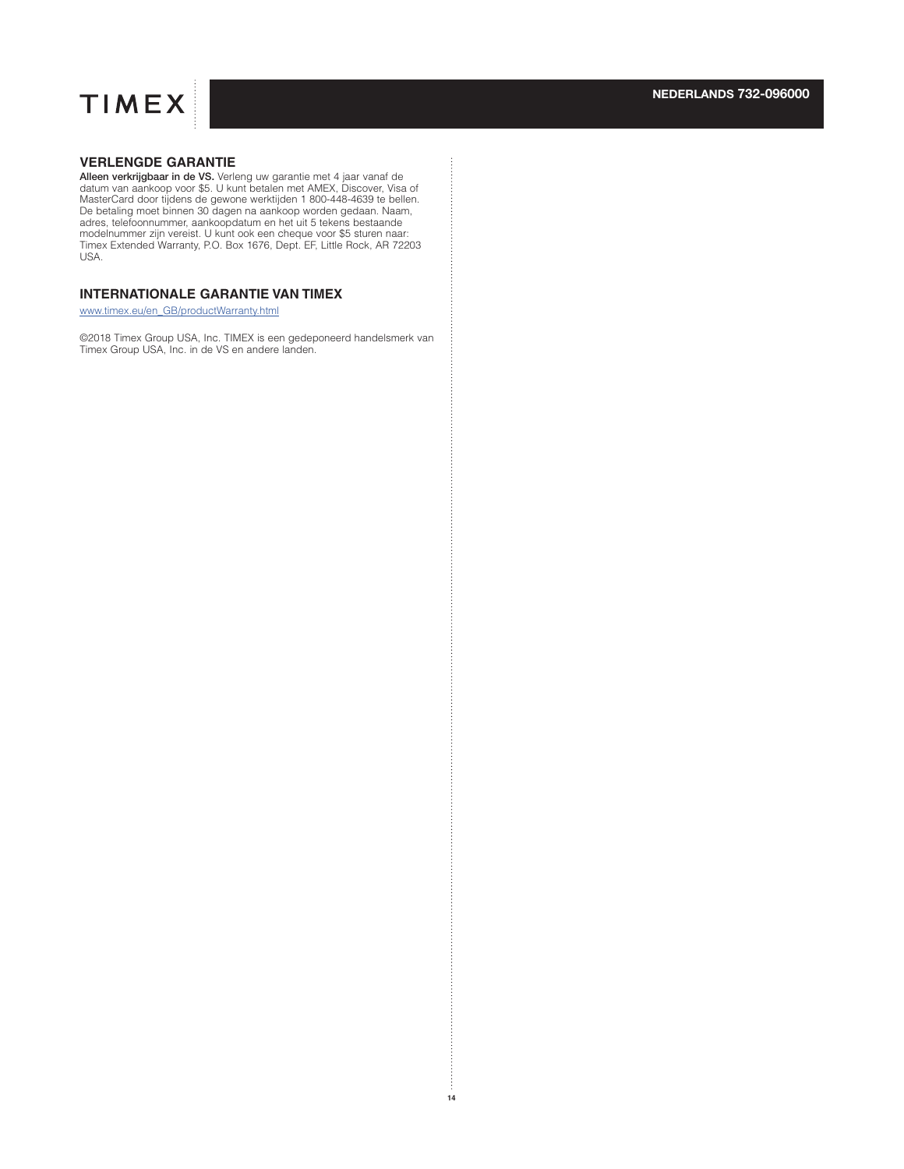

## **VERLENGDE GARANTIE**

**Alleen verkrijgbaar in de VS.** Verleng uw garantie met 4 jaar vanaf de<br>datum van aankoop voor \$5. U kunt betalen met AMEX, Discover, Visa of MasterCard door tijdens de gewone werktijden 1 800-448-4639 te bellen. De betaling moet binnen 30 dagen na aankoop worden gedaan. Naam, adres, telefoonnummer, aankoopdatum en het uit 5 tekens bestaande modelnummer zijn vereist. U kunt ook een cheque voor \$5 sturen naar: Timex Extended Warranty, P.O. Box 1676, Dept. EF, Little Rock, AR 72203 USA.

## **INTERNATIONALE GARANTIE VAN TIMEX**

www.timex.eu/en\_GB/productWarranty.html

©2018 Timex Group USA, Inc. TIMEX is een gedeponeerd handelsmerk van Timex Group USA, Inc. in de VS en andere landen.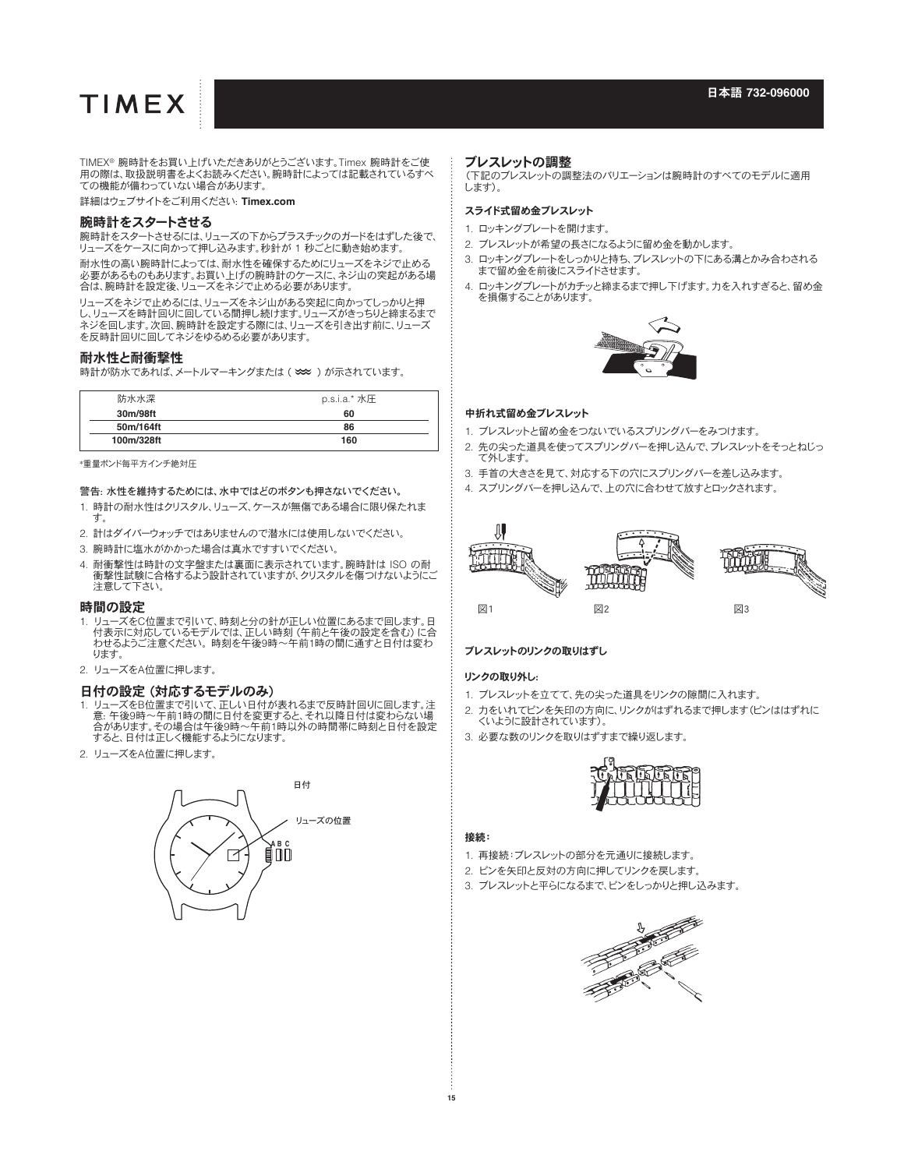TIMEX® 腕時計をお買い上げいただきありがとうございます。Timex 腕時計をご使 用の際は、取扱説明書をよくお読みください。腕時計によっては記載されているすべ ての機能が備わっていない場合があります。

詳細はウェブサイトをご利用ください: **Timex.com**

#### 腕時計をスタートさせる

腕時計をスタートさせるには、リューズの下からプラスチックのガードをはずした後で、 リューズをケースに向かって押し込みます。秒針が 1 秒ごとに動き始めます。

耐水性の高い腕時計によっては、耐水性を確保するためにリューズをネジで止める 必要があるものもあります。お買い上げの腕時計のケースに、ネジ山の突起がある場 合は、腕時計を設定後、リューズをネジで止める必要があります。

リューズをネジで止めるには、リューズをネジ山がある突起に向かってしっかりと押 し、リューズを時計回りに回している間押し続けます。リューズがきっちりと締まるまで ネジを回します。次回、腕時計を設定する際には、リューズを引き出す前に、リューズ を反時計回りに回してネジをゆるめる必要があります。

#### 耐水性と耐衝撃性

時計が防水であれば、メートルマーキングまたは (O) が示されています。

| 防水水深       | p.s.i.a.* 水圧 |
|------------|--------------|
| 30m/98ft   | 60           |
| 50m/164ft  | 86           |
| 100m/328ft | 160          |

\*重量ポンド毎平方インチ絶対圧

警告: 水性を維持するためには、水中ではどのボタンも押さないでください。

- 1. 時計の耐水性はクリスタル、リューズ、ケースが無傷である場合に限り保たれま す。
- 2. 計はダイバーウォッチではありませんので潜水には使用しないでください。
- 3. 腕時計に塩水がかかった場合は真水ですすいでください。
- 4. 耐衝撃性は時計の文字盤または裏面に表示されています。腕時計は ISO の耐 衝撃性試験に合格するよう設計されていますが、クリスタルを傷つけないようにご 注意して下さい。

#### 時間の設定

- 1. リューズをC位置まで引いて、時刻と分の針が正しい位置にあるまで回します。日 付表示に対応しているモデルでは、正しい時刻 (午前と午後の設定を含む) に合 わせるようご注意ください。 時刻を午後9時~午前1時の間に通すと日付は変わ ります。
- 2. リューズをA位置に押します。

#### 日付の設定 (対応するモデルのみ)

- 1. リューズをB位置まで引いて、正しい日付が表れるまで反時計回りに回します。注 意: 午後9時~午前1時の間に日付を変更すると、それ以降日付は変わらない場 合があります。その場合は午後9時~午前1時以外の時間帯に時刻と日付を設定 - ロッシンジン・ミング自分・イベント けんか
- 2. リューズをA位置に押します。



#### ブレスレットの調整

(下記のブレスレットの調整法のバリエーションは腕時計のすべてのモデルに適用 します)。

#### スライド式留め金ブレスレット

- 1. ロッキングプレートを開けます。
- 2. ブレスレットが希望の長さになるように留め金を動かします。
- 3. ロッキングプレートをしっかりと持ち、ブレスレットの下にある溝とかみ合わされる まで留め金を前後にスライドさせます。
- 4. ロッキングプレートがカチッと締まるまで押し下げます。力を入れすぎると、留め金 を損傷することがあります。



#### 中折れ式留め金ブレスレット

- 1. ブレスレットと留め金をつないでいるスプリングバーをみつけます。
- 2. 先の尖った道具を使ってスプリングバーを押し込んで、ブレスレットをそっとねじっ て外します。
- 3. 手首の大きさを見て、対応する下の穴にスプリングバーを差し込みます。
- 4. スプリングバーを押し込んで、上の穴に合わせて放すとロックされます。



#### ブレスレットのリンクの取りはずし

#### リンクの取り外し:

- 1. ブレスレットを立てて、先の尖った道具をリンクの隙間に入れます。
- 2. 力をいれてピンを矢印の方向に、リンクがはずれるまで押します(ピンははずれに くいように設計されています)。
- 3. 必要な数のリンクを取りはずすまで繰り返します。



#### 接続:

- 1. 再接続:ブレスレットの部分を元通りに接続します。
- 2. ピンを矢印と反対の方向に押してリンクを戻します。
- 3. ブレスレットと平らになるまで、ピンをしっかりと押し込みます。

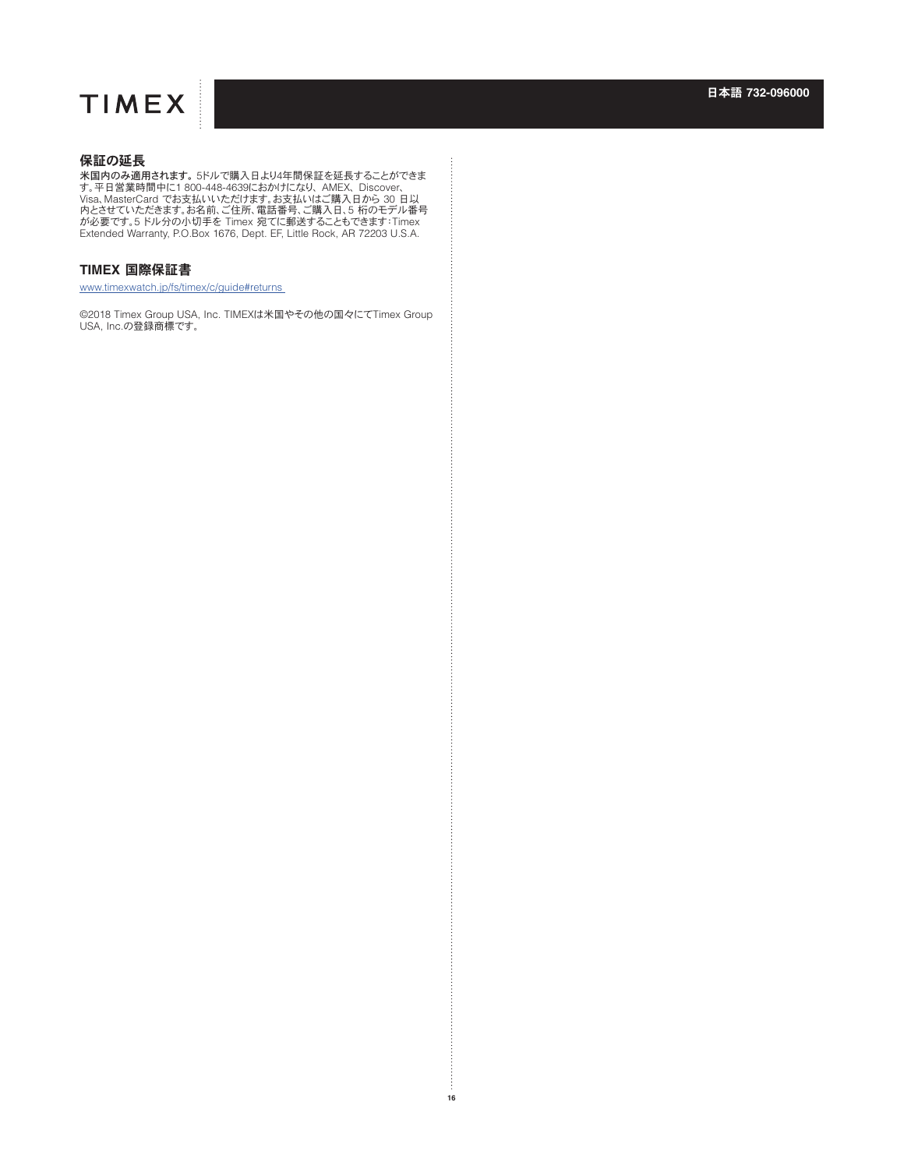## 保証の延長

米国内のみ適用されます。 5ドルで購入日より4年間保証を延長することができま す。平日営業時間中に1 800-448-4639におかけになり、 AMEX、 Discover、<br>Visa、MasterCard でお支払いいただけます。お支払いはご購入日から 30 日以<br>内とさせていただきます。お名前、ご住所、電話番号、ご購入日、5 桁のモデル番号<br>が必要です。5 ドル分の小切手を Timex 宛てに郵送することもできます:Timex<br>Extended Warranty, P.O.Box 1676, Dept. EF

### **TIMEX** 国際保証書

www.timexwatch.jp/fs/timex/c/guide#returns

©2018 Timex Group USA, Inc. TIMEXは米国やその他の国々にてTimex Group USA, Inc.の登録商標です。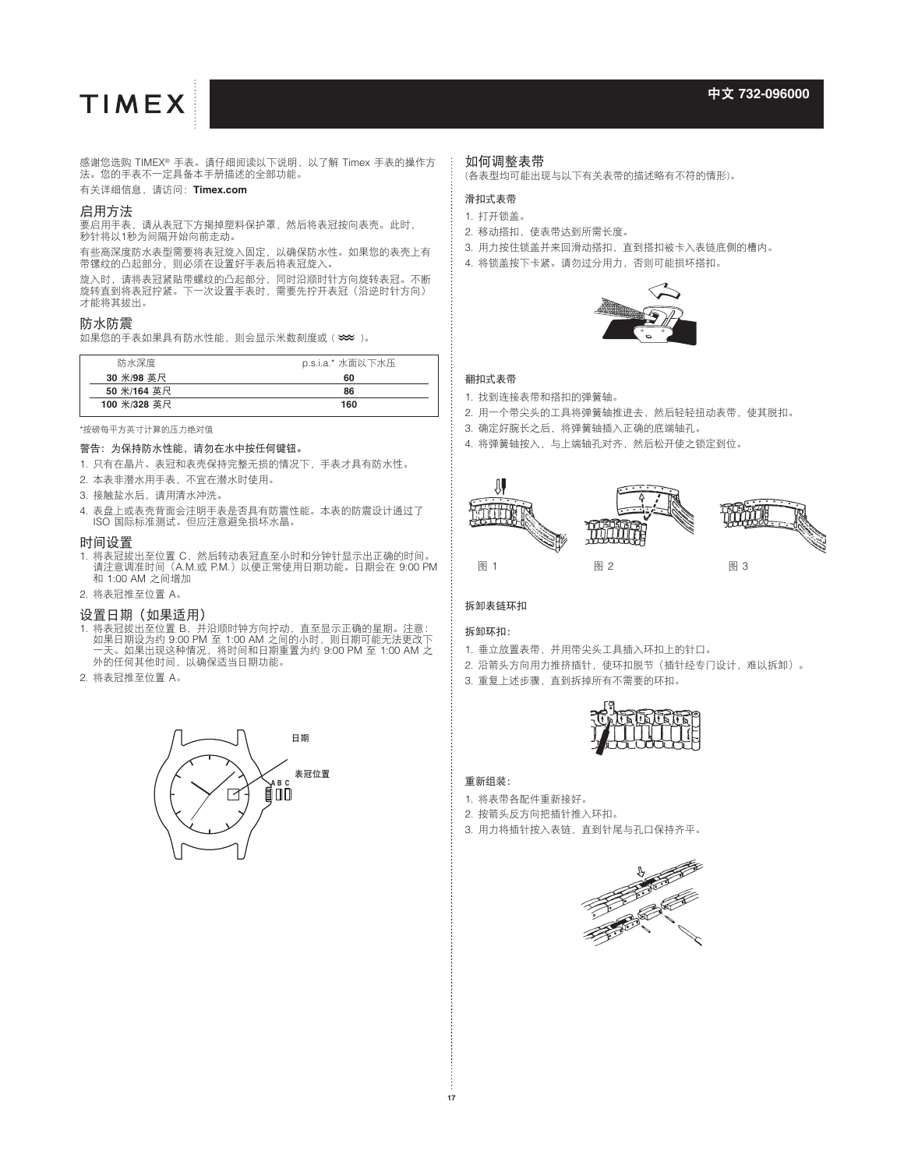感谢您选购 TIMEX® 手表。请仔细阅读以下说明,以了解 Timex 手表的操作方 法。您的手表不一定具备本手册描述的全部功能。

#### 有关详细信息,请访问:**Timex.com**

#### 启用方法

要启用手表,请从表冠下方揭掉塑料保护罩,然后将表冠按向表壳。此<mark>时</mark>, 秒针将以1秒为间隔开始向前走动。

有些高深度防水表型需要将表冠旋入固定,以确保防水性。如果您的表壳上有 带镙纹的凸起部分,则必须在设置好手表后将表冠旋入。

旋入时,请将表冠紧贴带螺纹的凸起部分,同时沿顺时针方向旋转表冠。不断 旋转直到将表冠拧紧。下一次设置手表时,需要先拧开表冠(沿逆时针方向) 才能将其拔出。

#### 防水防震

\*\*\*\*\*\*\*\*\*\*\*\*\*\*<br>如果您的手表如果具有防水性能,则会显示米数刻度或 (  $\boldsymbol{\infty}$  )。

| 防水深度         | p.s.i.a.* 水面以下水压 |
|--------------|------------------|
| 30 米/98 英尺   | 60               |
| 50 米/164 英尺  | 86               |
| 100 米/328 英尺 | 160              |

\*按磅每平方英寸计算的压力绝对值

#### 警告:为保持防水性能,请勿在水中按任何键钮。

- 1. 只有在晶片、表冠和表壳保持完整无损的情况下,手表才具有防水性。
- 2. 本表非潜水用手表,不宜在潜水时使用。
- 3. 接触盐水后,请用清水冲洗。
- 4. 表盘上或表壳背面会注明手表是否具有防震性能。本表的防震设计通过了 ISO 国际标准测试。但应注意避免损坏水晶。

#### 时间设置

- 1. 将表冠拔出至位置 C, 然后转动表冠直至小时和分钟针显示出正确的时间 请注意调准时间 (A.M.或 P.M.)以便正常使用日期功能。日期会在 9:00 PM 和 1:00 AM 之间增加
- 2. 将表冠推至位置 A。

#### 设置日期(如果适用)

- 1. 将表冠拔出至位置 B,并沿顺时钟方向拧动,直至显示正确的星期。注意: 如果日期设为约 9:00 PM 至 1:00 AM 之间的小时,则日期可能无法更改下 一天。如果出现这种情况,将时间和日期重置为约 9:00 PM 至 1:00 AM 之 外的任何其他时间,以确保适当日期功能。
- 2. 将表冠推至位置 A。



## 如何调整表带

(各表型均可能出现与以下有关表带的描述略有不符的情形)。

#### 滑扣式表带

#### 1. 打开锁盖。

- 2. 移动搭扣,使表带达到所需长度。
- 3. 用力按住锁盖并来回滑动搭扣,直到搭扣被卡入表链底侧的槽内。
- 4. 将锁盖按下卡紧。请勿过分用力,否则可能损坏搭扣。



#### 翻扣式表带

- 1. 找到连接表带和搭扣的弹簧轴。
- 2. 用一个带尖头的工具将弹簧轴推进去,然后轻轻扭动表带,使其脱扣。
- 3. 确定好腕长之后,将弹簧轴插入正确的底端轴孔。
- 4. 将弹簧轴按入,与上端轴孔对齐,然后松开使之锁定到位。



#### 拆卸表链环扣

#### 拆卸环扣:

- 1. 垂立放置表带,并用带尖头工具插入环扣上的针口。
- 2. 沿箭头方向用力推挤插针, 使环扣脱节(插针经专门设计,难以拆卸)。
- 3. 重复上述步骤,直到拆掉所有不需要的环扣。



#### 重新组装:

- 1. 将表带各配件重新接好。
- 2. 按箭头反方向把插针推入环扣。
- 3. 用力将插针按入表链,直到针尾与孔口保持齐平。

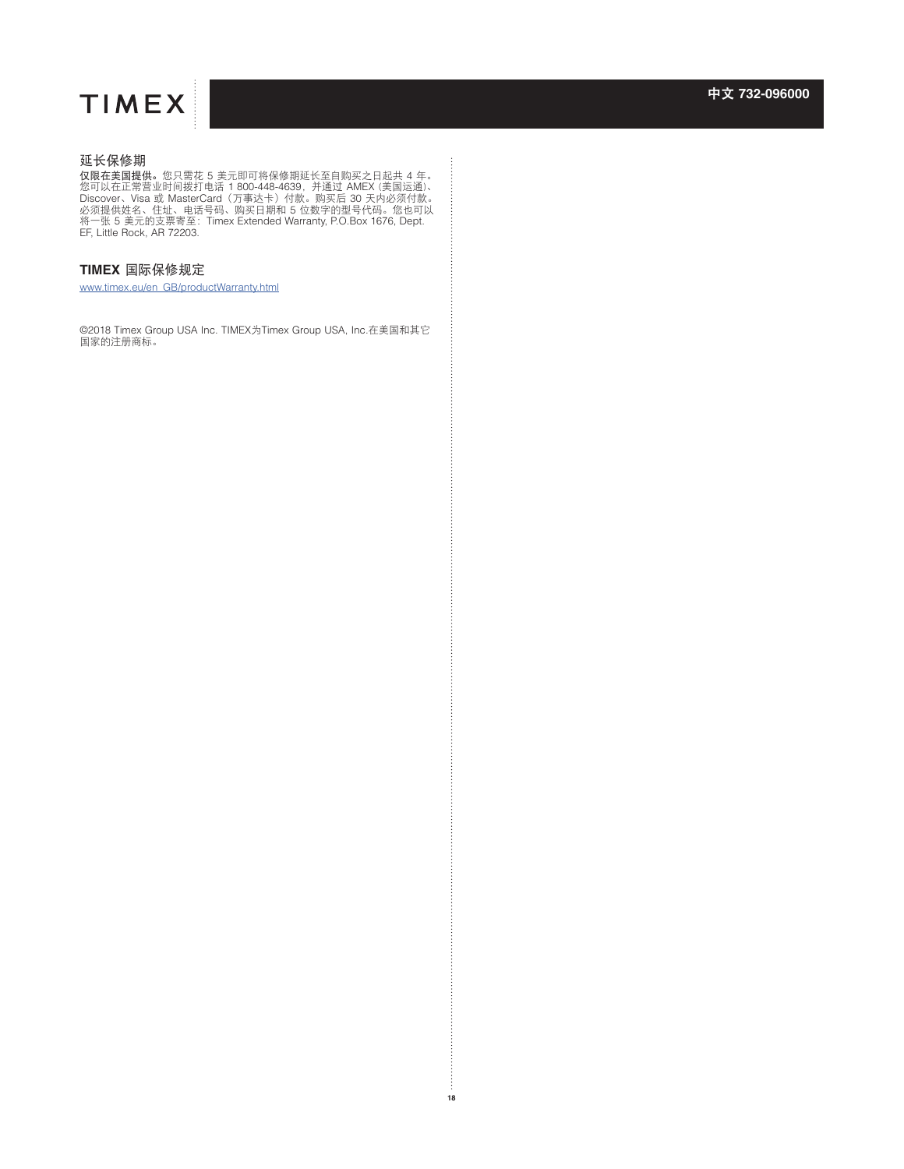

## 延长保修期

仅<mark>限在美国提供</mark>。您只需花 5 美元即可将保修期延长至自购买之日起共 4 年。<br>您可以在正常营业时间拨打电话 1 800-448-4639,并通过 AMEX (美国运通)、<br>Discover、Visa 或 MasterCard(万事达卡)付款。购买后 30 天内必须付款。<br>必须提供姓名、住址、电话号码、购买日期和 5 位数字的型号代码。您也可以<br>将一张 5 美元的支票寄至:Timex Extended Warranty, P.O.Box EF, Little Rock, AR 72203.

## **TIMEX** 国际保修规定

[www.timex.eu/en\\_GB/productWarranty.html](http://www.timex.eu/en_GB/productWarranty.html )

©2018 Timex Group USA Inc. TIMEX为Timex Group USA, Inc.在美国和其它 国家的注册商标。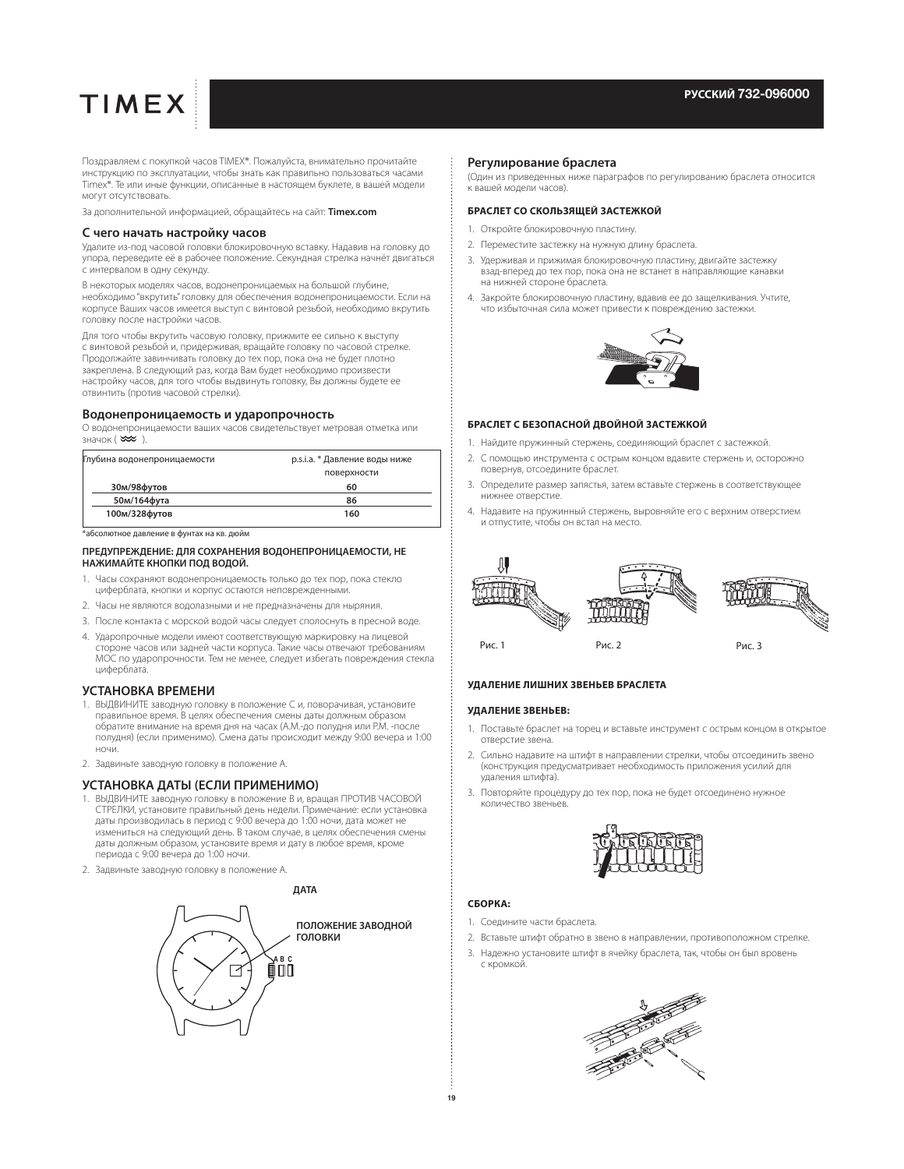Поздравляем с покупкой часов TIMEX®. Пожалуйста, внимательно прочитайте инструкцию по эксплуатации, чтобы знать как правильно пользоваться часами Timex®. Те или иные функции, описанные в настоящем буклете, в вашей модели могут отсутствовать.

За дополнительной информацией, обращайтесь на сайт: **Timex.com**

#### **С чего начать настройку часов**

Удалите из-под часовой головки блокировочную вставку. Надавив на головку до упора, переведите её в рабочее положение. Секундная стрелка начнёт двигаться с интервалом в одну секунду.

В некоторых моделях часов, водонепроницаемых на большой глубине, необходимо "вкрутить" головку для обеспечения водонепроницаемости. Если на корпусе Ваших часов имеется выступ с винтовой резьбой, необходимо вкрутить головку после настройки часов.

Для того чтобы вкрутить часовую головку, прижмите ее сильно к выступу с винтовой резьбой и, придерживая, вращайте головку по часовой стрелке. Продолжайте завинчивать головку до тех пор, пока она не будет плотно закреплена. В следующий раз, когда Вам будет необходимо произвести настройку часов, для того чтобы выдвинуть головку, Вы должны будете ее отвинтить (против часовой стрелки).

#### **Водонепроницаемость и ударопрочность**

О водонепроницаемости ваших часов свидетельствует метровая отметка или значок  $(\infty)$ .

| Глубина водонепроницаемости | р.s.i.a. * Давление воды ниже |
|-----------------------------|-------------------------------|
|                             | поверхности                   |
| 30м/98футов                 | 60                            |
| 50м/164фута                 | 86                            |
| 100м/328футов               | 160                           |
|                             |                               |

\*абсолютное давление в фунтах на кв. дюйм

#### **ПРЕДУПРЕЖДЕНИЕ: ДЛЯ СОХРАНЕНИЯ ВОДОНЕПРОНИЦАЕМОСТИ, НЕ НАЖИМАЙТЕ КНОПКИ ПОД ВОДОЙ.**

- 1. Часы сохраняют водонепроницаемость только до тех пор, пока стекло циферблата, кнопки и корпус остаются неповрежденными.
- 2. Часы не являются водолазными и не предназначены для ныряния.
- 3. После контакта с морской водой часы следует сполоснуть в пресной воде.
- 4. Ударопрочные модели имеют соответствующую маркировку на лицевой стороне часов или задней части корпуса. Такие часы отвечают требованиям MOC по ударопрочности. Тем не менее, следует избегать повреждения стекла циферблата.

#### **УСТАНОВКА ВРЕМЕНИ**

- 1. ВЫДВИНИТЕ заводную головку в положение C и, поворачивая, установите правильное время. В целях обеспечения смены даты должным образом обратите внимание на время дня на часах (A.M.-до полудня или P.M. -после полудня) (если применимо). Смена даты происходит между 9:00 вечера и 1:00 ночи.
- 2. Задвиньте заводную головку в положение А.

#### **УСТАНОВКА ДАТЫ (ЕСЛИ ПРИМЕНИМО)**

- 1. ВЫДВИНИТЕ заводную головку в положение В и, вращая ПРОТИВ ЧАСОВОЙ СТРЕЛКИ, установите правильный день недели. Примечание: если установка даты производилась в период с 9:00 вечера до 1:00 ночи, дата может не измениться на следующий день. В таком случае, в целях обеспечения смены даты должным образом, установите время и дату в любое время, кроме периода с 9:00 вечера до 1:00 ночи.
- 2. Задвиньте заводную головку в положение А.



#### **Регулирование браслета**

(Один из приведенных ниже параграфов по регулированию браслета относится к вашей модели часов).

#### **БРАСЛЕТ СО СКОЛЬЗЯЩЕЙ ЗАСТЕЖКОЙ**

- 1. Откройте блокировочную пластину.
- 2. Переместите застежку на нужную длину браслета.
- 3. Удерживая и прижимая блокировочную пластину, двигайте застежку взад-вперед до тех пор, пока она не встанет в направляющие канавки на нижней стороне браслета.
- 4. Закройте блокировочную пластину, вдавив ее до защелкивания. Учтите, что избыточная сила может привести к повреждению застежки.



#### **БРАСЛЕТ С БЕЗОПАСНОЙ ДВОЙНОЙ ЗАСТЕЖКОЙ**

- 1. Найдите пружинный стержень, соединяющий браслет с застежкой.
- 2. С помощью инструмента с острым концом вдавите стержень и, осторожно повернув, отсоедините браслет.
- 3. Определите размер запястья, затем вставьте стержень в соответствующее нижнее отверстие.
- 4. Надавите на пружинный стержень, выровняйте его с верхним отверстием и отпустите, чтобы он встал на место.



#### **УДАЛЕНИЕ ЛИШНИХ ЗВЕНЬЕВ БРАСЛЕТА**

#### **УДАЛЕНИЕ ЗВЕНЬЕВ:**

- 1. Поставьте браслет на торец и вставьте инструмент с острым концом в открытое отверстие звена.
- 2. Сильно надавите на штифт в направлении стрелки, чтобы отсоединить звено (конструкция предусматривает необходимость приложения усилий для удаления штифта).
- 3. Повторяйте процедуру до тех пор, пока не будет отсоединено нужное количество звеньев.



#### **СБОРКА:**

- 1. Соедините части браслета.
- 2. Вставьте штифт обратно в звено в направлении, противоположном стрелке.
- 3. Надежно установите штифт в ячейку браслета, так, чтобы он был вровень с кромкой.